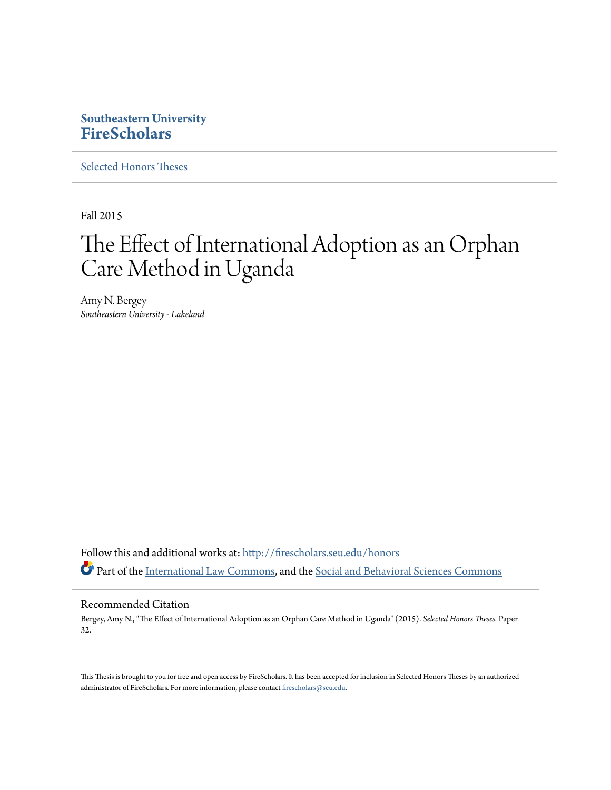# **Southeastern University [FireScholars](http://firescholars.seu.edu?utm_source=firescholars.seu.edu%2Fhonors%2F32&utm_medium=PDF&utm_campaign=PDFCoverPages)**

[Selected Honors Theses](http://firescholars.seu.edu/honors?utm_source=firescholars.seu.edu%2Fhonors%2F32&utm_medium=PDF&utm_campaign=PDFCoverPages)

Fall 2015

# The Effect of International Adoption as an Orphan Care Method in Uganda

Amy N. Bergey *Southeastern University - Lakeland*

Follow this and additional works at: [http://firescholars.seu.edu/honors](http://firescholars.seu.edu/honors?utm_source=firescholars.seu.edu%2Fhonors%2F32&utm_medium=PDF&utm_campaign=PDFCoverPages) Part of the [International Law Commons,](http://network.bepress.com/hgg/discipline/609?utm_source=firescholars.seu.edu%2Fhonors%2F32&utm_medium=PDF&utm_campaign=PDFCoverPages) and the [Social and Behavioral Sciences Commons](http://network.bepress.com/hgg/discipline/316?utm_source=firescholars.seu.edu%2Fhonors%2F32&utm_medium=PDF&utm_campaign=PDFCoverPages)

#### Recommended Citation

Bergey, Amy N., "The Effect of International Adoption as an Orphan Care Method in Uganda" (2015). *Selected Honors Theses.* Paper 32.

This Thesis is brought to you for free and open access by FireScholars. It has been accepted for inclusion in Selected Honors Theses by an authorized administrator of FireScholars. For more information, please contact [firescholars@seu.edu](mailto:firescholars@seu.edu).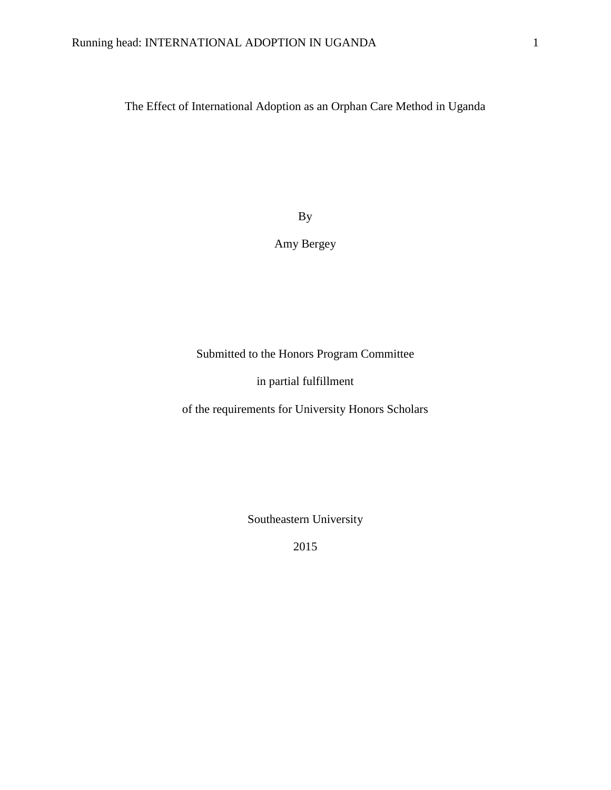The Effect of International Adoption as an Orphan Care Method in Uganda

By

# Amy Bergey

Submitted to the Honors Program Committee

in partial fulfillment

of the requirements for University Honors Scholars

Southeastern University

2015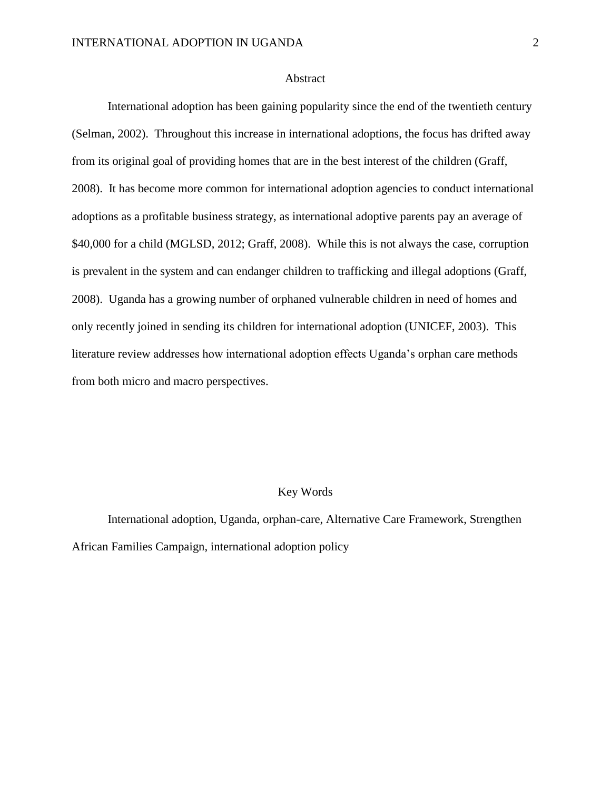#### Abstract

International adoption has been gaining popularity since the end of the twentieth century (Selman, 2002). Throughout this increase in international adoptions, the focus has drifted away from its original goal of providing homes that are in the best interest of the children (Graff, 2008). It has become more common for international adoption agencies to conduct international adoptions as a profitable business strategy, as international adoptive parents pay an average of \$40,000 for a child (MGLSD, 2012; Graff, 2008). While this is not always the case, corruption is prevalent in the system and can endanger children to trafficking and illegal adoptions (Graff, 2008). Uganda has a growing number of orphaned vulnerable children in need of homes and only recently joined in sending its children for international adoption (UNICEF, 2003). This literature review addresses how international adoption effects Uganda's orphan care methods from both micro and macro perspectives.

# Key Words

International adoption, Uganda, orphan-care, Alternative Care Framework, Strengthen African Families Campaign, international adoption policy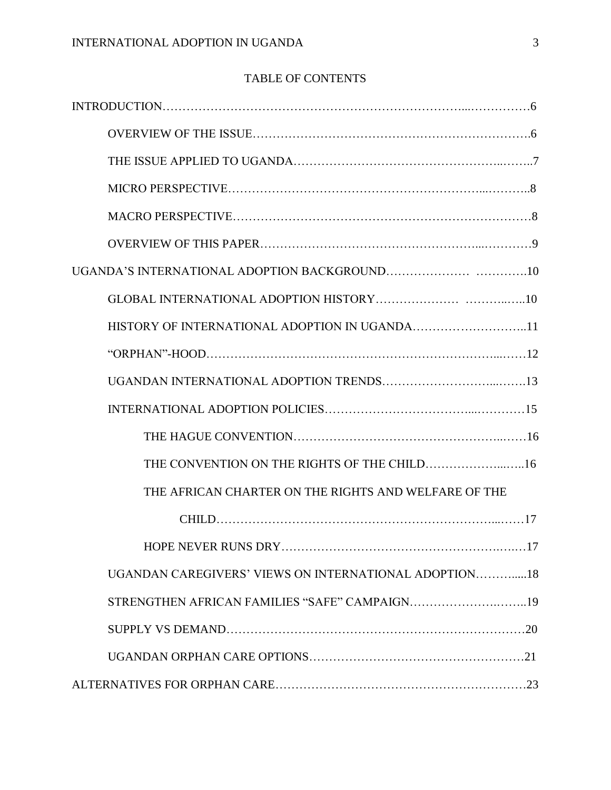# TABLE OF CONTENTS

| HISTORY OF INTERNATIONAL ADOPTION IN UGANDA11         |  |
|-------------------------------------------------------|--|
|                                                       |  |
|                                                       |  |
|                                                       |  |
|                                                       |  |
|                                                       |  |
| THE AFRICAN CHARTER ON THE RIGHTS AND WELFARE OF THE  |  |
|                                                       |  |
|                                                       |  |
| UGANDAN CAREGIVERS' VIEWS ON INTERNATIONAL ADOPTION18 |  |
|                                                       |  |
|                                                       |  |
|                                                       |  |
|                                                       |  |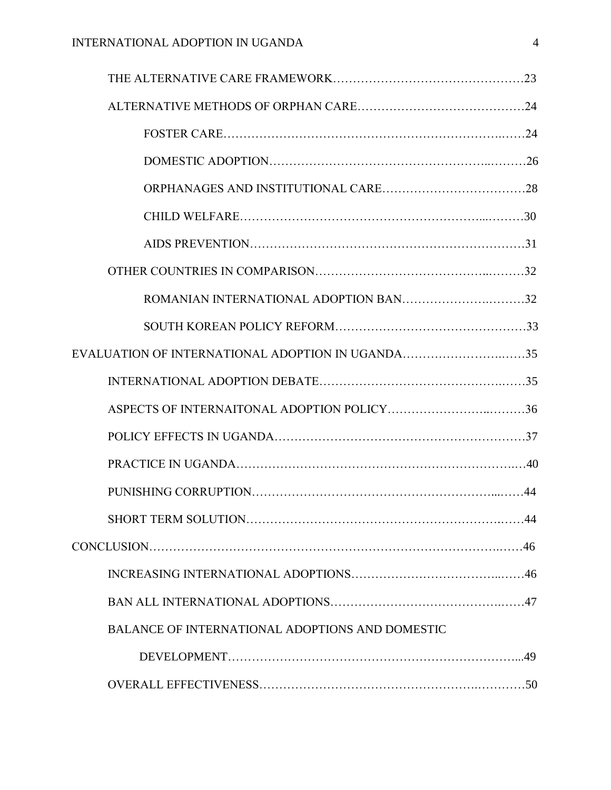| ROMANIAN INTERNATIONAL ADOPTION BAN32                  |     |
|--------------------------------------------------------|-----|
|                                                        |     |
| EVALUATION OF INTERNATIONAL ADOPTION IN UGANDA35       |     |
|                                                        |     |
|                                                        |     |
|                                                        |     |
|                                                        |     |
|                                                        |     |
|                                                        | .44 |
|                                                        |     |
|                                                        |     |
|                                                        |     |
| <b>BALANCE OF INTERNATIONAL ADOPTIONS AND DOMESTIC</b> |     |
|                                                        |     |
|                                                        |     |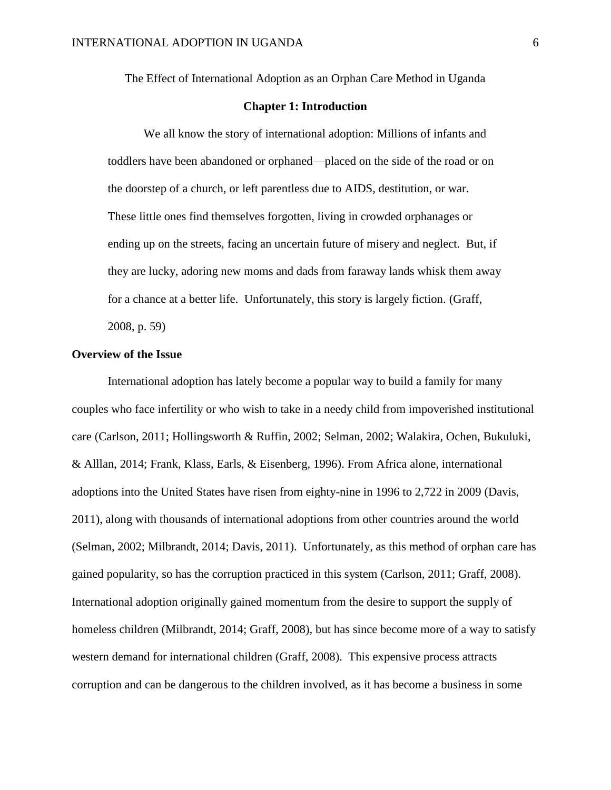The Effect of International Adoption as an Orphan Care Method in Uganda

#### **Chapter 1: Introduction**

We all know the story of international adoption: Millions of infants and toddlers have been abandoned or orphaned—placed on the side of the road or on the doorstep of a church, or left parentless due to AIDS, destitution, or war. These little ones find themselves forgotten, living in crowded orphanages or ending up on the streets, facing an uncertain future of misery and neglect. But, if they are lucky, adoring new moms and dads from faraway lands whisk them away for a chance at a better life. Unfortunately, this story is largely fiction. (Graff, 2008, p. 59)

#### **Overview of the Issue**

International adoption has lately become a popular way to build a family for many couples who face infertility or who wish to take in a needy child from impoverished institutional care (Carlson, 2011; Hollingsworth & Ruffin, 2002; Selman, 2002; Walakira, Ochen, Bukuluki, & Alllan, 2014; Frank, Klass, Earls, & Eisenberg, 1996). From Africa alone, international adoptions into the United States have risen from eighty-nine in 1996 to 2,722 in 2009 (Davis, 2011), along with thousands of international adoptions from other countries around the world (Selman, 2002; Milbrandt, 2014; Davis, 2011). Unfortunately, as this method of orphan care has gained popularity, so has the corruption practiced in this system (Carlson, 2011; Graff, 2008). International adoption originally gained momentum from the desire to support the supply of homeless children (Milbrandt, 2014; Graff, 2008), but has since become more of a way to satisfy western demand for international children (Graff, 2008). This expensive process attracts corruption and can be dangerous to the children involved, as it has become a business in some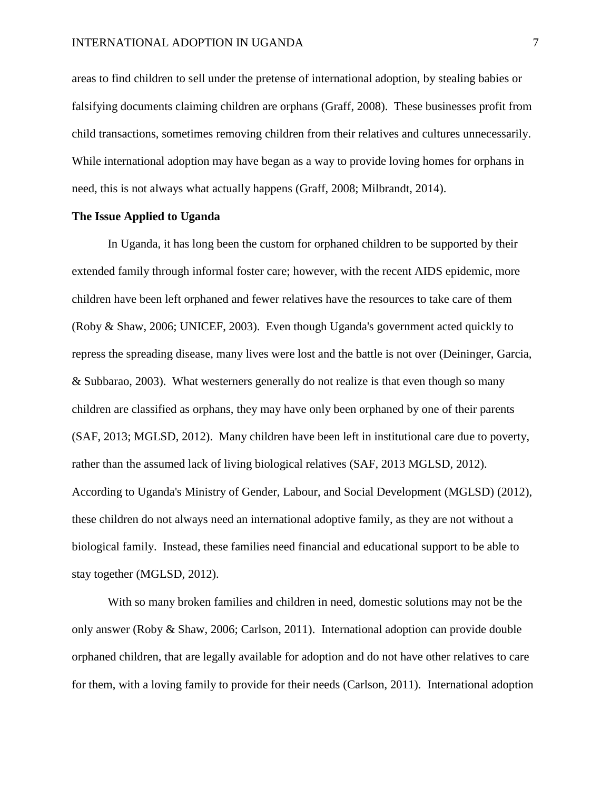areas to find children to sell under the pretense of international adoption, by stealing babies or falsifying documents claiming children are orphans (Graff, 2008). These businesses profit from child transactions, sometimes removing children from their relatives and cultures unnecessarily. While international adoption may have began as a way to provide loving homes for orphans in need, this is not always what actually happens (Graff, 2008; Milbrandt, 2014).

#### **The Issue Applied to Uganda**

In Uganda, it has long been the custom for orphaned children to be supported by their extended family through informal foster care; however, with the recent AIDS epidemic, more children have been left orphaned and fewer relatives have the resources to take care of them (Roby & Shaw, 2006; UNICEF, 2003). Even though Uganda's government acted quickly to repress the spreading disease, many lives were lost and the battle is not over (Deininger, Garcia, & Subbarao, 2003). What westerners generally do not realize is that even though so many children are classified as orphans, they may have only been orphaned by one of their parents (SAF, 2013; MGLSD, 2012). Many children have been left in institutional care due to poverty, rather than the assumed lack of living biological relatives (SAF, 2013 MGLSD, 2012). According to Uganda's Ministry of Gender, Labour, and Social Development (MGLSD) (2012), these children do not always need an international adoptive family, as they are not without a biological family. Instead, these families need financial and educational support to be able to stay together (MGLSD, 2012).

With so many broken families and children in need, domestic solutions may not be the only answer (Roby & Shaw, 2006; Carlson, 2011). International adoption can provide double orphaned children, that are legally available for adoption and do not have other relatives to care for them, with a loving family to provide for their needs (Carlson, 2011). International adoption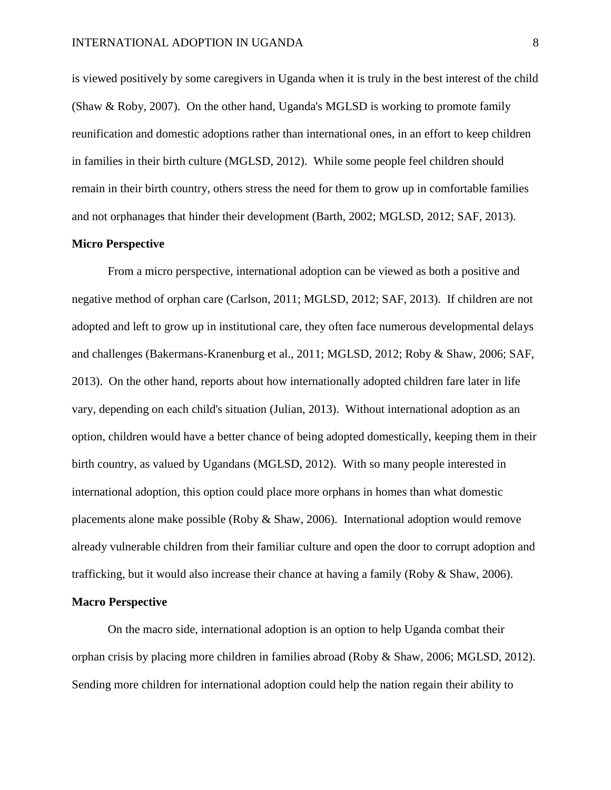is viewed positively by some caregivers in Uganda when it is truly in the best interest of the child (Shaw & Roby, 2007). On the other hand, Uganda's MGLSD is working to promote family reunification and domestic adoptions rather than international ones, in an effort to keep children in families in their birth culture (MGLSD, 2012). While some people feel children should remain in their birth country, others stress the need for them to grow up in comfortable families and not orphanages that hinder their development (Barth, 2002; MGLSD, 2012; SAF, 2013).

# **Micro Perspective**

From a micro perspective, international adoption can be viewed as both a positive and negative method of orphan care (Carlson, 2011; MGLSD, 2012; SAF, 2013). If children are not adopted and left to grow up in institutional care, they often face numerous developmental delays and challenges (Bakermans-Kranenburg et al., 2011; MGLSD, 2012; Roby & Shaw, 2006; SAF, 2013). On the other hand, reports about how internationally adopted children fare later in life vary, depending on each child's situation (Julian, 2013). Without international adoption as an option, children would have a better chance of being adopted domestically, keeping them in their birth country, as valued by Ugandans (MGLSD, 2012). With so many people interested in international adoption, this option could place more orphans in homes than what domestic placements alone make possible (Roby & Shaw, 2006). International adoption would remove already vulnerable children from their familiar culture and open the door to corrupt adoption and trafficking, but it would also increase their chance at having a family (Roby & Shaw, 2006).

#### **Macro Perspective**

On the macro side, international adoption is an option to help Uganda combat their orphan crisis by placing more children in families abroad (Roby & Shaw, 2006; MGLSD, 2012). Sending more children for international adoption could help the nation regain their ability to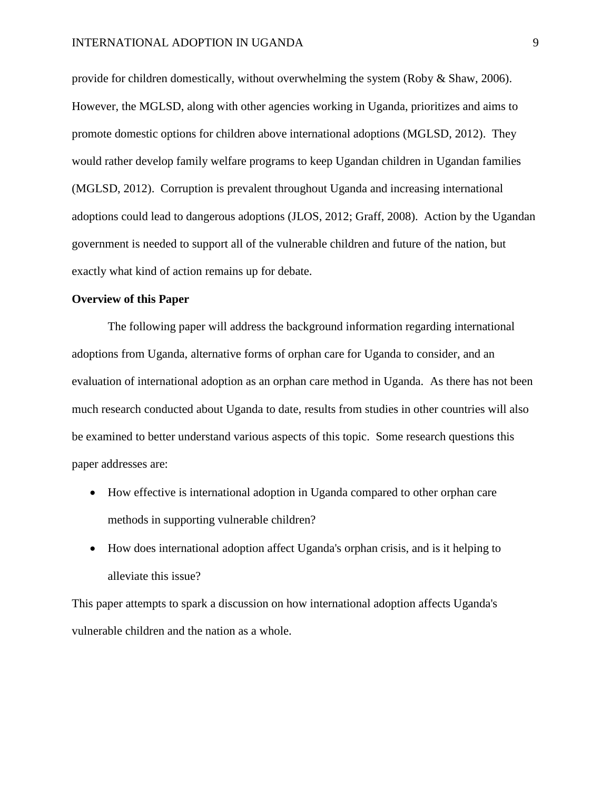provide for children domestically, without overwhelming the system (Roby & Shaw, 2006). However, the MGLSD, along with other agencies working in Uganda, prioritizes and aims to promote domestic options for children above international adoptions (MGLSD, 2012). They would rather develop family welfare programs to keep Ugandan children in Ugandan families (MGLSD, 2012). Corruption is prevalent throughout Uganda and increasing international adoptions could lead to dangerous adoptions (JLOS, 2012; Graff, 2008). Action by the Ugandan government is needed to support all of the vulnerable children and future of the nation, but exactly what kind of action remains up for debate.

### **Overview of this Paper**

The following paper will address the background information regarding international adoptions from Uganda, alternative forms of orphan care for Uganda to consider, and an evaluation of international adoption as an orphan care method in Uganda. As there has not been much research conducted about Uganda to date, results from studies in other countries will also be examined to better understand various aspects of this topic. Some research questions this paper addresses are:

- How effective is international adoption in Uganda compared to other orphan care methods in supporting vulnerable children?
- How does international adoption affect Uganda's orphan crisis, and is it helping to alleviate this issue?

This paper attempts to spark a discussion on how international adoption affects Uganda's vulnerable children and the nation as a whole.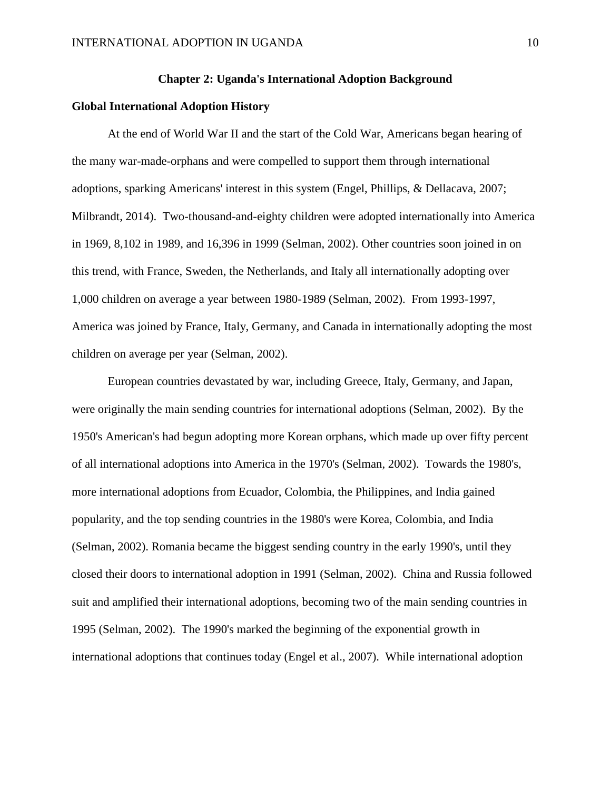#### **Chapter 2: Uganda's International Adoption Background**

#### **Global International Adoption History**

At the end of World War II and the start of the Cold War, Americans began hearing of the many war-made-orphans and were compelled to support them through international adoptions, sparking Americans' interest in this system (Engel, Phillips, & Dellacava, 2007; Milbrandt, 2014). Two-thousand-and-eighty children were adopted internationally into America in 1969, 8,102 in 1989, and 16,396 in 1999 (Selman, 2002). Other countries soon joined in on this trend, with France, Sweden, the Netherlands, and Italy all internationally adopting over 1,000 children on average a year between 1980-1989 (Selman, 2002). From 1993-1997, America was joined by France, Italy, Germany, and Canada in internationally adopting the most children on average per year (Selman, 2002).

European countries devastated by war, including Greece, Italy, Germany, and Japan, were originally the main sending countries for international adoptions (Selman, 2002). By the 1950's American's had begun adopting more Korean orphans, which made up over fifty percent of all international adoptions into America in the 1970's (Selman, 2002). Towards the 1980's, more international adoptions from Ecuador, Colombia, the Philippines, and India gained popularity, and the top sending countries in the 1980's were Korea, Colombia, and India (Selman, 2002). Romania became the biggest sending country in the early 1990's, until they closed their doors to international adoption in 1991 (Selman, 2002). China and Russia followed suit and amplified their international adoptions, becoming two of the main sending countries in 1995 (Selman, 2002). The 1990's marked the beginning of the exponential growth in international adoptions that continues today (Engel et al., 2007). While international adoption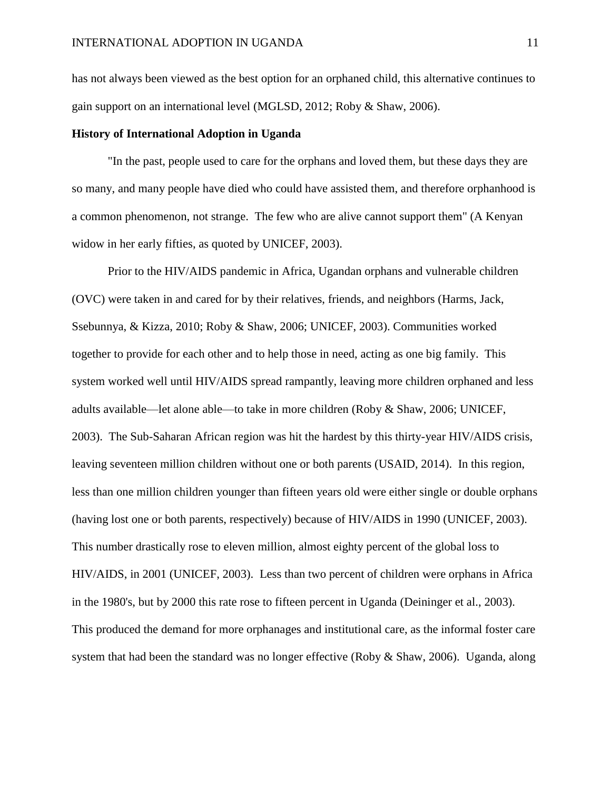has not always been viewed as the best option for an orphaned child, this alternative continues to gain support on an international level (MGLSD, 2012; Roby & Shaw, 2006).

#### **History of International Adoption in Uganda**

"In the past, people used to care for the orphans and loved them, but these days they are so many, and many people have died who could have assisted them, and therefore orphanhood is a common phenomenon, not strange. The few who are alive cannot support them" (A Kenyan widow in her early fifties, as quoted by UNICEF, 2003).

Prior to the HIV/AIDS pandemic in Africa, Ugandan orphans and vulnerable children (OVC) were taken in and cared for by their relatives, friends, and neighbors (Harms, Jack, Ssebunnya, & Kizza, 2010; Roby & Shaw, 2006; UNICEF, 2003). Communities worked together to provide for each other and to help those in need, acting as one big family. This system worked well until HIV/AIDS spread rampantly, leaving more children orphaned and less adults available—let alone able—to take in more children (Roby & Shaw, 2006; UNICEF, 2003). The Sub-Saharan African region was hit the hardest by this thirty-year HIV/AIDS crisis, leaving seventeen million children without one or both parents (USAID, 2014). In this region, less than one million children younger than fifteen years old were either single or double orphans (having lost one or both parents, respectively) because of HIV/AIDS in 1990 (UNICEF, 2003). This number drastically rose to eleven million, almost eighty percent of the global loss to HIV/AIDS, in 2001 (UNICEF, 2003). Less than two percent of children were orphans in Africa in the 1980's, but by 2000 this rate rose to fifteen percent in Uganda (Deininger et al., 2003). This produced the demand for more orphanages and institutional care, as the informal foster care system that had been the standard was no longer effective (Roby & Shaw, 2006). Uganda, along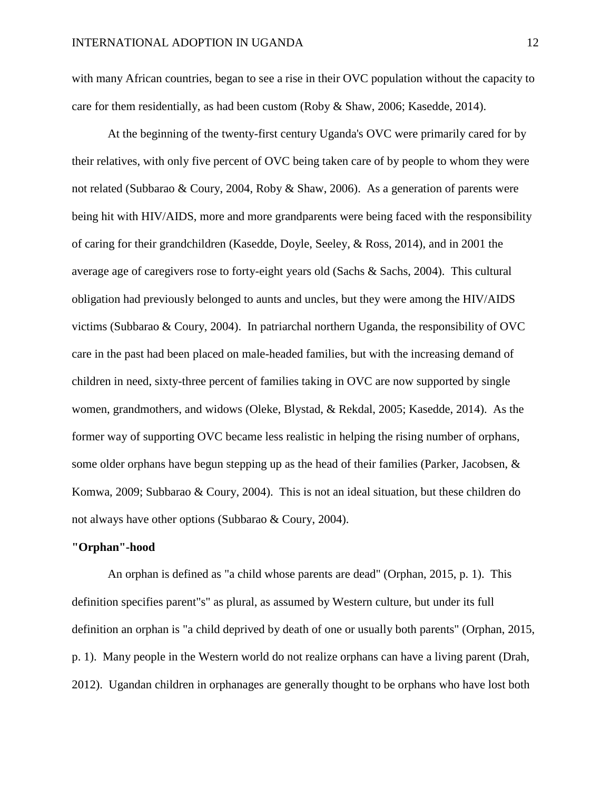with many African countries, began to see a rise in their OVC population without the capacity to care for them residentially, as had been custom (Roby & Shaw, 2006; Kasedde, 2014).

At the beginning of the twenty-first century Uganda's OVC were primarily cared for by their relatives, with only five percent of OVC being taken care of by people to whom they were not related (Subbarao & Coury, 2004, Roby & Shaw, 2006). As a generation of parents were being hit with HIV/AIDS, more and more grandparents were being faced with the responsibility of caring for their grandchildren (Kasedde, Doyle, Seeley, & Ross, 2014), and in 2001 the average age of caregivers rose to forty-eight years old (Sachs & Sachs, 2004). This cultural obligation had previously belonged to aunts and uncles, but they were among the HIV/AIDS victims (Subbarao & Coury, 2004). In patriarchal northern Uganda, the responsibility of OVC care in the past had been placed on male-headed families, but with the increasing demand of children in need, sixty-three percent of families taking in OVC are now supported by single women, grandmothers, and widows (Oleke, Blystad, & Rekdal, 2005; Kasedde, 2014). As the former way of supporting OVC became less realistic in helping the rising number of orphans, some older orphans have begun stepping up as the head of their families (Parker, Jacobsen, & Komwa, 2009; Subbarao & Coury, 2004). This is not an ideal situation, but these children do not always have other options (Subbarao & Coury, 2004).

#### **"Orphan"-hood**

An orphan is defined as "a child whose parents are dead" (Orphan, 2015, p. 1). This definition specifies parent"s" as plural, as assumed by Western culture, but under its full definition an orphan is "a child deprived by death of one or usually both parents" (Orphan, 2015, p. 1). Many people in the Western world do not realize orphans can have a living parent (Drah, 2012). Ugandan children in orphanages are generally thought to be orphans who have lost both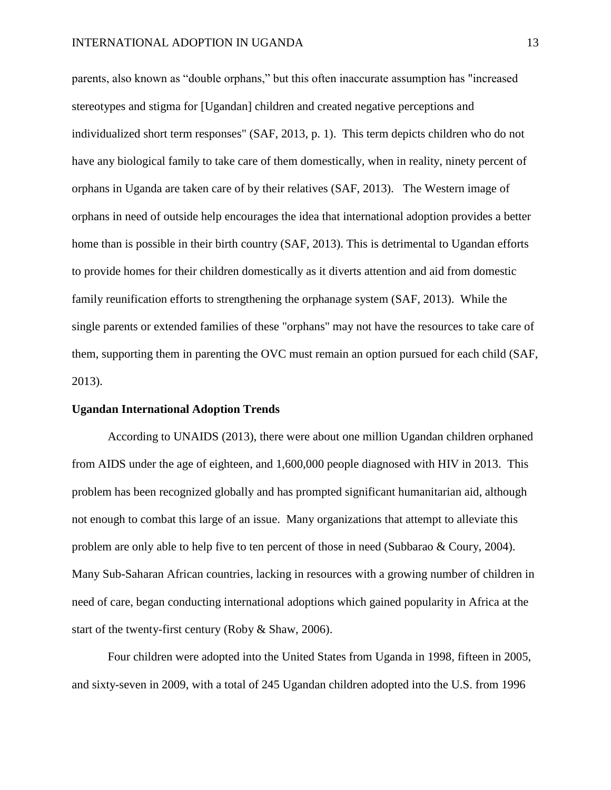parents, also known as "double orphans," but this often inaccurate assumption has "increased stereotypes and stigma for [Ugandan] children and created negative perceptions and individualized short term responses" (SAF, 2013, p. 1). This term depicts children who do not have any biological family to take care of them domestically, when in reality, ninety percent of orphans in Uganda are taken care of by their relatives (SAF, 2013). The Western image of orphans in need of outside help encourages the idea that international adoption provides a better home than is possible in their birth country (SAF, 2013). This is detrimental to Ugandan efforts to provide homes for their children domestically as it diverts attention and aid from domestic family reunification efforts to strengthening the orphanage system (SAF, 2013). While the single parents or extended families of these "orphans" may not have the resources to take care of them, supporting them in parenting the OVC must remain an option pursued for each child (SAF, 2013).

#### **Ugandan International Adoption Trends**

According to UNAIDS (2013), there were about one million Ugandan children orphaned from AIDS under the age of eighteen, and 1,600,000 people diagnosed with HIV in 2013. This problem has been recognized globally and has prompted significant humanitarian aid, although not enough to combat this large of an issue. Many organizations that attempt to alleviate this problem are only able to help five to ten percent of those in need (Subbarao & Coury, 2004). Many Sub-Saharan African countries, lacking in resources with a growing number of children in need of care, began conducting international adoptions which gained popularity in Africa at the start of the twenty-first century (Roby & Shaw, 2006).

Four children were adopted into the United States from Uganda in 1998, fifteen in 2005, and sixty-seven in 2009, with a total of 245 Ugandan children adopted into the U.S. from 1996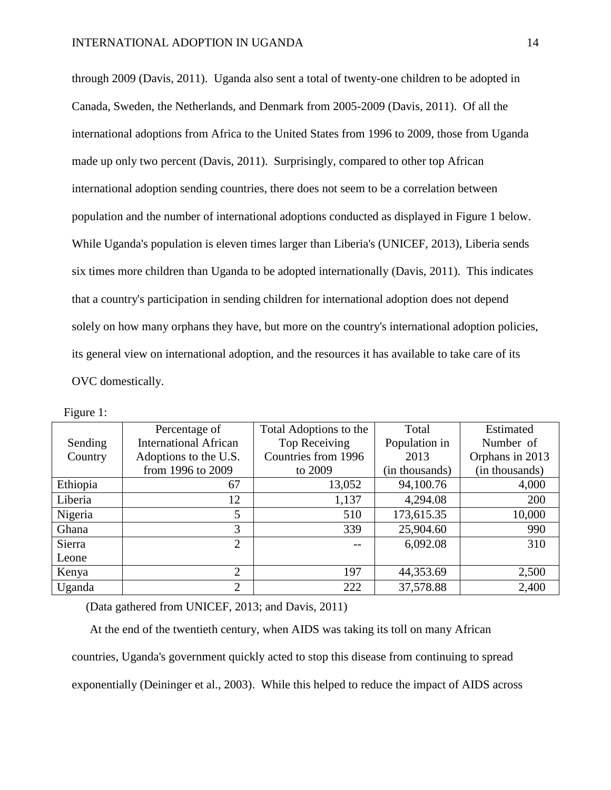through 2009 (Davis, 2011). Uganda also sent a total of twenty-one children to be adopted in Canada, Sweden, the Netherlands, and Denmark from 2005-2009 (Davis, 2011). Of all the international adoptions from Africa to the United States from 1996 to 2009, those from Uganda made up only two percent (Davis, 2011). Surprisingly, compared to other top African international adoption sending countries, there does not seem to be a correlation between population and the number of international adoptions conducted as displayed in Figure 1 below. While Uganda's population is eleven times larger than Liberia's (UNICEF, 2013), Liberia sends six times more children than Uganda to be adopted internationally (Davis, 2011). This indicates that a country's participation in sending children for international adoption does not depend solely on how many orphans they have, but more on the country's international adoption policies, its general view on international adoption, and the resources it has available to take care of its OVC domestically.

Figure 1:

|          | Percentage of                | Total Adoptions to the | Total          | Estimated       |
|----------|------------------------------|------------------------|----------------|-----------------|
| Sending  | <b>International African</b> | Top Receiving          | Population in  | Number of       |
| Country  | Adoptions to the U.S.        | Countries from 1996    | 2013           | Orphans in 2013 |
|          | from 1996 to 2009            | to 2009                | (in thousands) | (in thousands)  |
| Ethiopia | 67                           | 13,052                 | 94,100.76      | 4,000           |
| Liberia  | 12                           | 1,137                  | 4,294.08       | 200             |
| Nigeria  | 5                            | 510                    | 173,615.35     | 10,000          |
| Ghana    | 3                            | 339                    | 25,904.60      | 990             |
| Sierra   | $\overline{2}$               |                        | 6,092.08       | 310             |
| Leone    |                              |                        |                |                 |
| Kenya    | $\overline{2}$               | 197                    | 44,353.69      | 2,500           |
| Uganda   | $\overline{2}$               | 222                    | 37,578.88      | 2,400           |

(Data gathered from UNICEF, 2013; and Davis, 2011)

At the end of the twentieth century, when AIDS was taking its toll on many African countries, Uganda's government quickly acted to stop this disease from continuing to spread exponentially (Deininger et al., 2003). While this helped to reduce the impact of AIDS across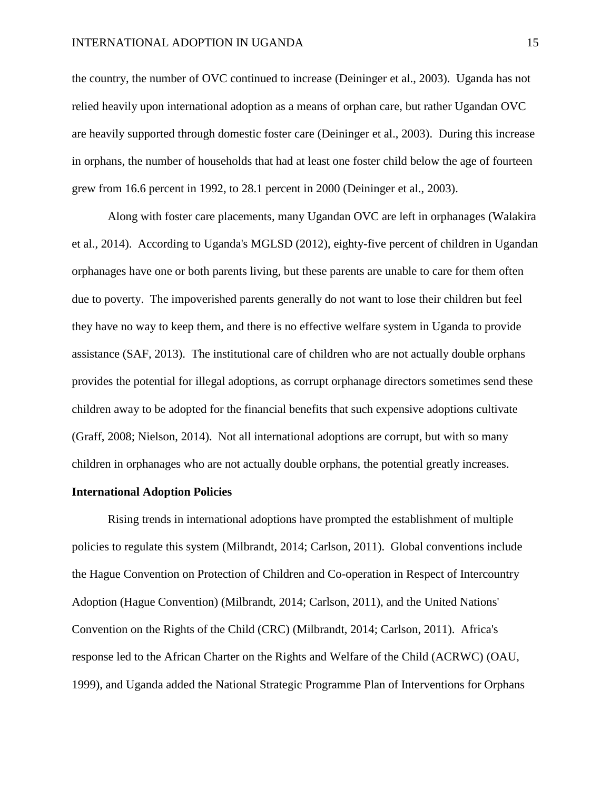the country, the number of OVC continued to increase (Deininger et al., 2003). Uganda has not relied heavily upon international adoption as a means of orphan care, but rather Ugandan OVC are heavily supported through domestic foster care (Deininger et al., 2003). During this increase in orphans, the number of households that had at least one foster child below the age of fourteen grew from 16.6 percent in 1992, to 28.1 percent in 2000 (Deininger et al., 2003).

Along with foster care placements, many Ugandan OVC are left in orphanages (Walakira et al., 2014). According to Uganda's MGLSD (2012), eighty-five percent of children in Ugandan orphanages have one or both parents living, but these parents are unable to care for them often due to poverty. The impoverished parents generally do not want to lose their children but feel they have no way to keep them, and there is no effective welfare system in Uganda to provide assistance (SAF, 2013). The institutional care of children who are not actually double orphans provides the potential for illegal adoptions, as corrupt orphanage directors sometimes send these children away to be adopted for the financial benefits that such expensive adoptions cultivate (Graff, 2008; Nielson, 2014). Not all international adoptions are corrupt, but with so many children in orphanages who are not actually double orphans, the potential greatly increases.

#### **International Adoption Policies**

Rising trends in international adoptions have prompted the establishment of multiple policies to regulate this system (Milbrandt, 2014; Carlson, 2011). Global conventions include the Hague Convention on Protection of Children and Co-operation in Respect of Intercountry Adoption (Hague Convention) (Milbrandt, 2014; Carlson, 2011), and the United Nations' Convention on the Rights of the Child (CRC) (Milbrandt, 2014; Carlson, 2011). Africa's response led to the African Charter on the Rights and Welfare of the Child (ACRWC) (OAU, 1999), and Uganda added the National Strategic Programme Plan of Interventions for Orphans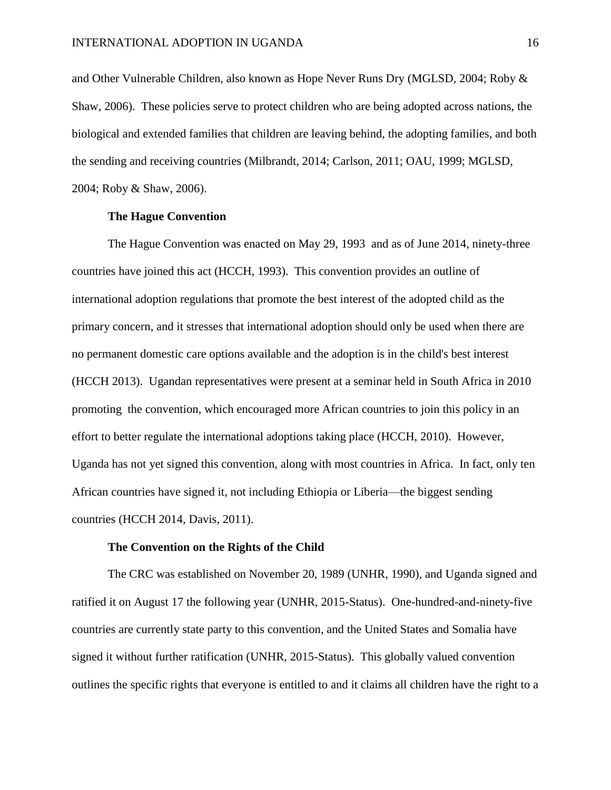and Other Vulnerable Children, also known as Hope Never Runs Dry (MGLSD, 2004; Roby & Shaw, 2006). These policies serve to protect children who are being adopted across nations, the biological and extended families that children are leaving behind, the adopting families, and both the sending and receiving countries (Milbrandt, 2014; Carlson, 2011; OAU, 1999; MGLSD, 2004; Roby & Shaw, 2006).

#### **The Hague Convention**

The Hague Convention was enacted on May 29, 1993 and as of June 2014, ninety-three countries have joined this act (HCCH, 1993). This convention provides an outline of international adoption regulations that promote the best interest of the adopted child as the primary concern, and it stresses that international adoption should only be used when there are no permanent domestic care options available and the adoption is in the child's best interest (HCCH 2013). Ugandan representatives were present at a seminar held in South Africa in 2010 promoting the convention, which encouraged more African countries to join this policy in an effort to better regulate the international adoptions taking place (HCCH, 2010). However, Uganda has not yet signed this convention, along with most countries in Africa. In fact, only ten African countries have signed it, not including Ethiopia or Liberia—the biggest sending countries (HCCH 2014, Davis, 2011).

#### **The Convention on the Rights of the Child**

The CRC was established on November 20, 1989 (UNHR, 1990), and Uganda signed and ratified it on August 17 the following year (UNHR, 2015-Status). One-hundred-and-ninety-five countries are currently state party to this convention, and the United States and Somalia have signed it without further ratification (UNHR, 2015-Status). This globally valued convention outlines the specific rights that everyone is entitled to and it claims all children have the right to a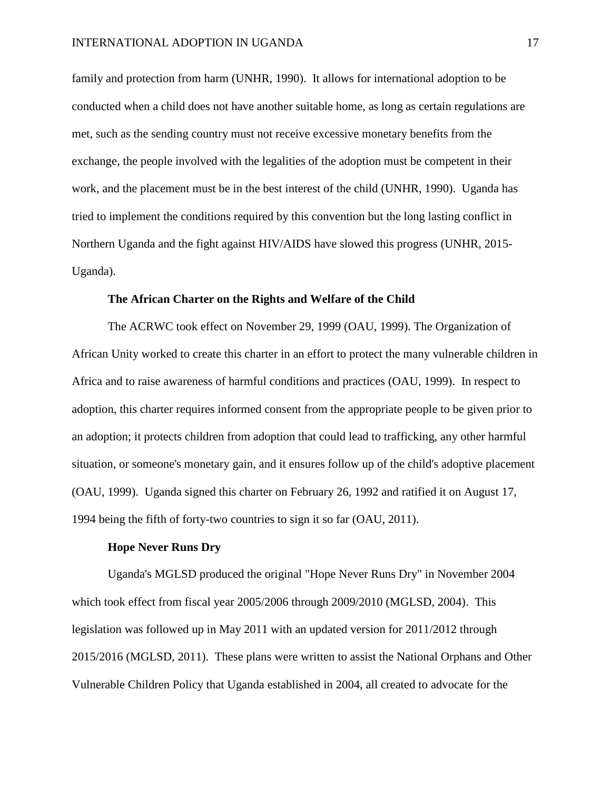family and protection from harm (UNHR, 1990). It allows for international adoption to be conducted when a child does not have another suitable home, as long as certain regulations are met, such as the sending country must not receive excessive monetary benefits from the exchange, the people involved with the legalities of the adoption must be competent in their work, and the placement must be in the best interest of the child (UNHR, 1990). Uganda has tried to implement the conditions required by this convention but the long lasting conflict in Northern Uganda and the fight against HIV/AIDS have slowed this progress (UNHR, 2015- Uganda).

#### **The African Charter on the Rights and Welfare of the Child**

The ACRWC took effect on November 29, 1999 (OAU, 1999). The Organization of African Unity worked to create this charter in an effort to protect the many vulnerable children in Africa and to raise awareness of harmful conditions and practices (OAU, 1999). In respect to adoption, this charter requires informed consent from the appropriate people to be given prior to an adoption; it protects children from adoption that could lead to trafficking, any other harmful situation, or someone's monetary gain, and it ensures follow up of the child's adoptive placement (OAU, 1999). Uganda signed this charter on February 26, 1992 and ratified it on August 17, 1994 being the fifth of forty-two countries to sign it so far (OAU, 2011).

### **Hope Never Runs Dry**

Uganda's MGLSD produced the original "Hope Never Runs Dry" in November 2004 which took effect from fiscal year 2005/2006 through 2009/2010 (MGLSD, 2004). This legislation was followed up in May 2011 with an updated version for 2011/2012 through 2015/2016 (MGLSD, 2011). These plans were written to assist the National Orphans and Other Vulnerable Children Policy that Uganda established in 2004, all created to advocate for the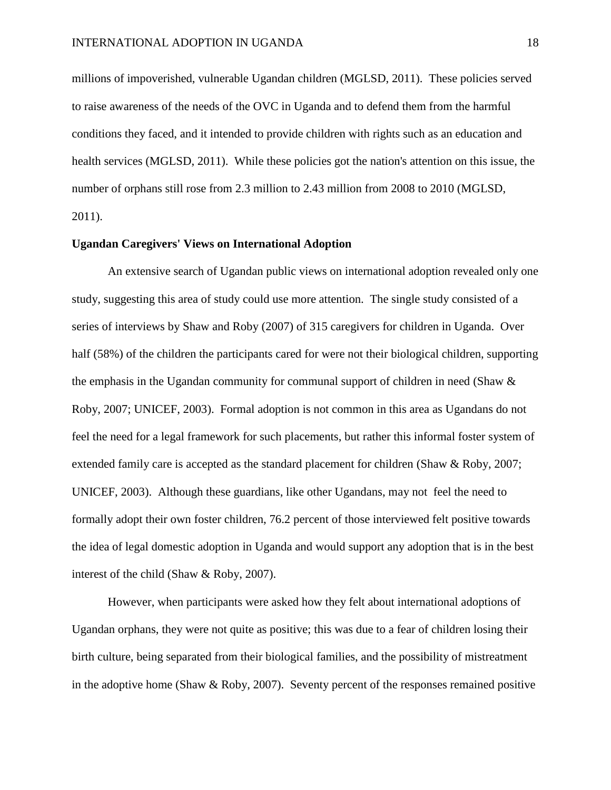millions of impoverished, vulnerable Ugandan children (MGLSD, 2011). These policies served to raise awareness of the needs of the OVC in Uganda and to defend them from the harmful conditions they faced, and it intended to provide children with rights such as an education and health services (MGLSD, 2011). While these policies got the nation's attention on this issue, the number of orphans still rose from 2.3 million to 2.43 million from 2008 to 2010 (MGLSD, 2011).

#### **Ugandan Caregivers' Views on International Adoption**

An extensive search of Ugandan public views on international adoption revealed only one study, suggesting this area of study could use more attention. The single study consisted of a series of interviews by Shaw and Roby (2007) of 315 caregivers for children in Uganda. Over half (58%) of the children the participants cared for were not their biological children, supporting the emphasis in the Ugandan community for communal support of children in need (Shaw & Roby, 2007; UNICEF, 2003). Formal adoption is not common in this area as Ugandans do not feel the need for a legal framework for such placements, but rather this informal foster system of extended family care is accepted as the standard placement for children (Shaw & Roby, 2007; UNICEF, 2003). Although these guardians, like other Ugandans, may not feel the need to formally adopt their own foster children, 76.2 percent of those interviewed felt positive towards the idea of legal domestic adoption in Uganda and would support any adoption that is in the best interest of the child (Shaw & Roby, 2007).

However, when participants were asked how they felt about international adoptions of Ugandan orphans, they were not quite as positive; this was due to a fear of children losing their birth culture, being separated from their biological families, and the possibility of mistreatment in the adoptive home (Shaw  $\&$  Roby, 2007). Seventy percent of the responses remained positive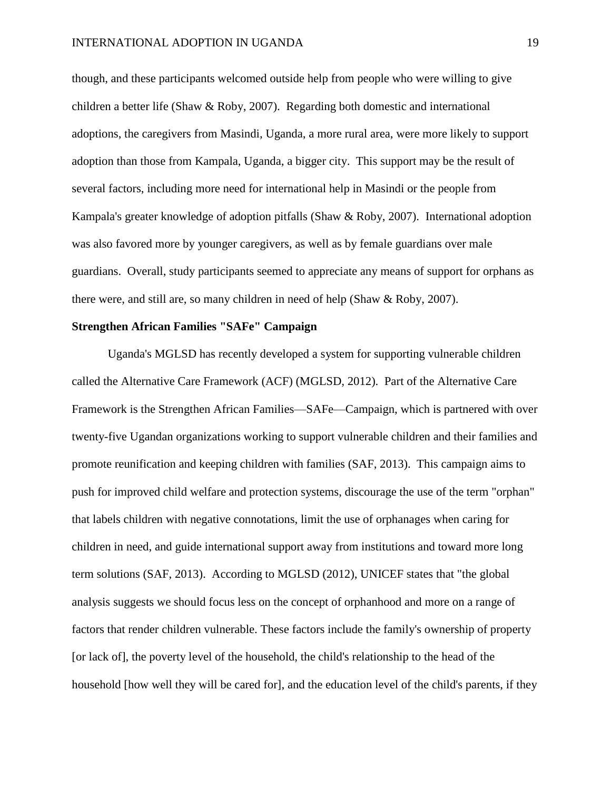though, and these participants welcomed outside help from people who were willing to give children a better life (Shaw & Roby, 2007). Regarding both domestic and international adoptions, the caregivers from Masindi, Uganda, a more rural area, were more likely to support adoption than those from Kampala, Uganda, a bigger city. This support may be the result of several factors, including more need for international help in Masindi or the people from Kampala's greater knowledge of adoption pitfalls (Shaw & Roby, 2007). International adoption was also favored more by younger caregivers, as well as by female guardians over male guardians. Overall, study participants seemed to appreciate any means of support for orphans as there were, and still are, so many children in need of help (Shaw & Roby, 2007).

# **Strengthen African Families "SAFe" Campaign**

Uganda's MGLSD has recently developed a system for supporting vulnerable children called the Alternative Care Framework (ACF) (MGLSD, 2012). Part of the Alternative Care Framework is the Strengthen African Families—SAFe—Campaign, which is partnered with over twenty-five Ugandan organizations working to support vulnerable children and their families and promote reunification and keeping children with families (SAF, 2013). This campaign aims to push for improved child welfare and protection systems, discourage the use of the term "orphan" that labels children with negative connotations, limit the use of orphanages when caring for children in need, and guide international support away from institutions and toward more long term solutions (SAF, 2013). According to MGLSD (2012), UNICEF states that "the global analysis suggests we should focus less on the concept of orphanhood and more on a range of factors that render children vulnerable. These factors include the family's ownership of property [or lack of], the poverty level of the household, the child's relationship to the head of the household [how well they will be cared for], and the education level of the child's parents, if they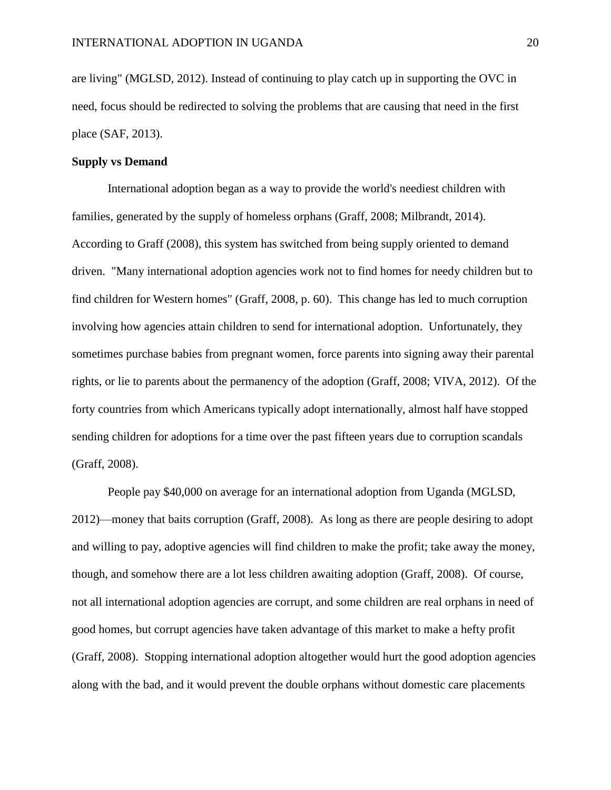are living" (MGLSD, 2012). Instead of continuing to play catch up in supporting the OVC in need, focus should be redirected to solving the problems that are causing that need in the first place (SAF, 2013).

#### **Supply vs Demand**

International adoption began as a way to provide the world's neediest children with families, generated by the supply of homeless orphans (Graff, 2008; Milbrandt, 2014). According to Graff (2008), this system has switched from being supply oriented to demand driven. "Many international adoption agencies work not to find homes for needy children but to find children for Western homes" (Graff, 2008, p. 60). This change has led to much corruption involving how agencies attain children to send for international adoption. Unfortunately, they sometimes purchase babies from pregnant women, force parents into signing away their parental rights, or lie to parents about the permanency of the adoption (Graff, 2008; VIVA, 2012). Of the forty countries from which Americans typically adopt internationally, almost half have stopped sending children for adoptions for a time over the past fifteen years due to corruption scandals (Graff, 2008).

People pay \$40,000 on average for an international adoption from Uganda (MGLSD, 2012)—money that baits corruption (Graff, 2008). As long as there are people desiring to adopt and willing to pay, adoptive agencies will find children to make the profit; take away the money, though, and somehow there are a lot less children awaiting adoption (Graff, 2008). Of course, not all international adoption agencies are corrupt, and some children are real orphans in need of good homes, but corrupt agencies have taken advantage of this market to make a hefty profit (Graff, 2008). Stopping international adoption altogether would hurt the good adoption agencies along with the bad, and it would prevent the double orphans without domestic care placements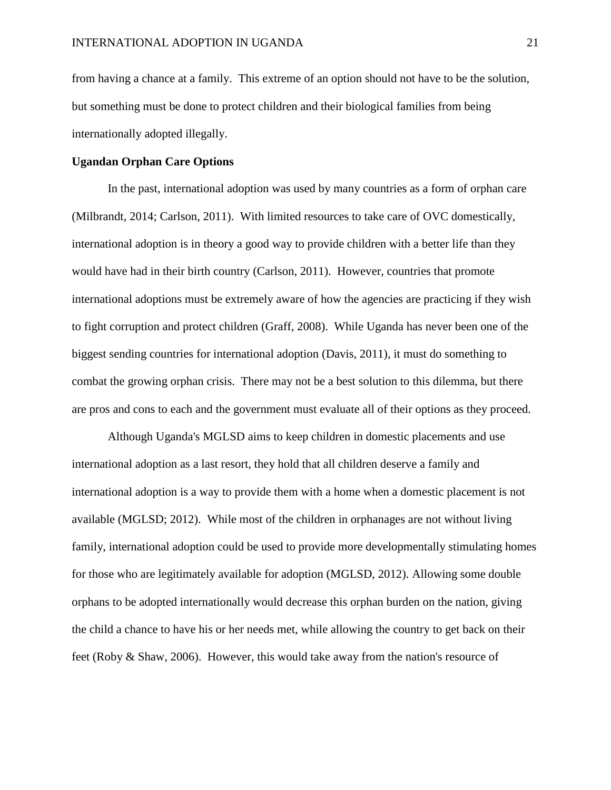from having a chance at a family. This extreme of an option should not have to be the solution, but something must be done to protect children and their biological families from being internationally adopted illegally.

#### **Ugandan Orphan Care Options**

In the past, international adoption was used by many countries as a form of orphan care (Milbrandt, 2014; Carlson, 2011). With limited resources to take care of OVC domestically, international adoption is in theory a good way to provide children with a better life than they would have had in their birth country (Carlson, 2011). However, countries that promote international adoptions must be extremely aware of how the agencies are practicing if they wish to fight corruption and protect children (Graff, 2008). While Uganda has never been one of the biggest sending countries for international adoption (Davis, 2011), it must do something to combat the growing orphan crisis. There may not be a best solution to this dilemma, but there are pros and cons to each and the government must evaluate all of their options as they proceed.

Although Uganda's MGLSD aims to keep children in domestic placements and use international adoption as a last resort, they hold that all children deserve a family and international adoption is a way to provide them with a home when a domestic placement is not available (MGLSD; 2012). While most of the children in orphanages are not without living family, international adoption could be used to provide more developmentally stimulating homes for those who are legitimately available for adoption (MGLSD, 2012). Allowing some double orphans to be adopted internationally would decrease this orphan burden on the nation, giving the child a chance to have his or her needs met, while allowing the country to get back on their feet (Roby & Shaw, 2006). However, this would take away from the nation's resource of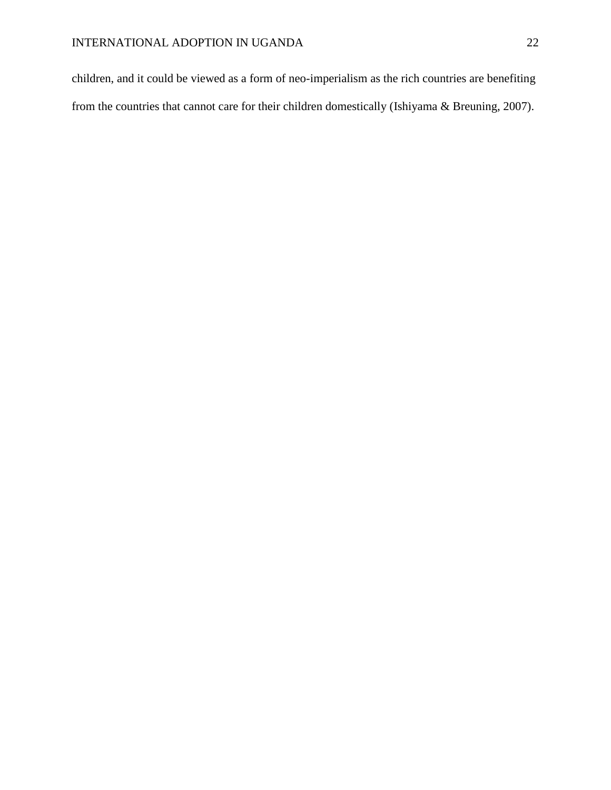children, and it could be viewed as a form of neo-imperialism as the rich countries are benefiting from the countries that cannot care for their children domestically (Ishiyama & Breuning, 2007).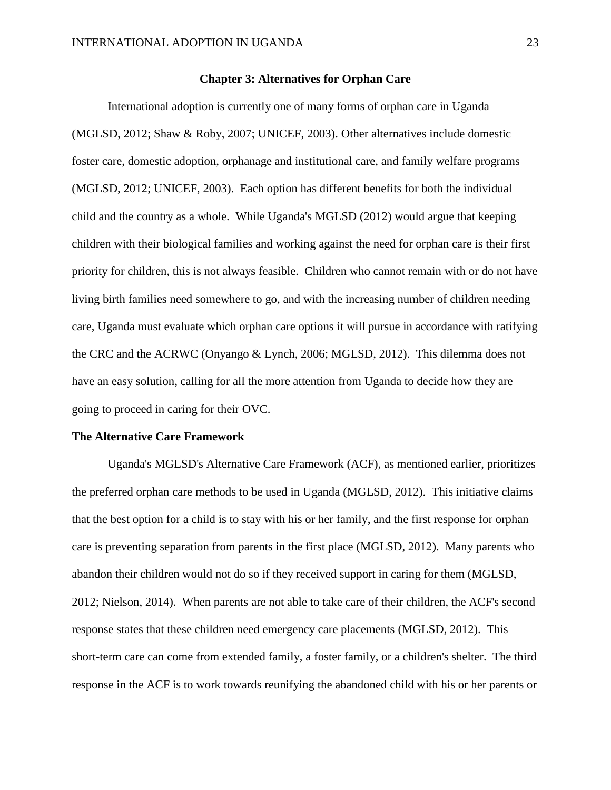#### **Chapter 3: Alternatives for Orphan Care**

International adoption is currently one of many forms of orphan care in Uganda (MGLSD, 2012; Shaw & Roby, 2007; UNICEF, 2003). Other alternatives include domestic foster care, domestic adoption, orphanage and institutional care, and family welfare programs (MGLSD, 2012; UNICEF, 2003). Each option has different benefits for both the individual child and the country as a whole. While Uganda's MGLSD (2012) would argue that keeping children with their biological families and working against the need for orphan care is their first priority for children, this is not always feasible. Children who cannot remain with or do not have living birth families need somewhere to go, and with the increasing number of children needing care, Uganda must evaluate which orphan care options it will pursue in accordance with ratifying the CRC and the ACRWC (Onyango & Lynch, 2006; MGLSD, 2012). This dilemma does not have an easy solution, calling for all the more attention from Uganda to decide how they are going to proceed in caring for their OVC.

#### **The Alternative Care Framework**

Uganda's MGLSD's Alternative Care Framework (ACF), as mentioned earlier, prioritizes the preferred orphan care methods to be used in Uganda (MGLSD, 2012). This initiative claims that the best option for a child is to stay with his or her family, and the first response for orphan care is preventing separation from parents in the first place (MGLSD, 2012). Many parents who abandon their children would not do so if they received support in caring for them (MGLSD, 2012; Nielson, 2014). When parents are not able to take care of their children, the ACF's second response states that these children need emergency care placements (MGLSD, 2012). This short-term care can come from extended family, a foster family, or a children's shelter. The third response in the ACF is to work towards reunifying the abandoned child with his or her parents or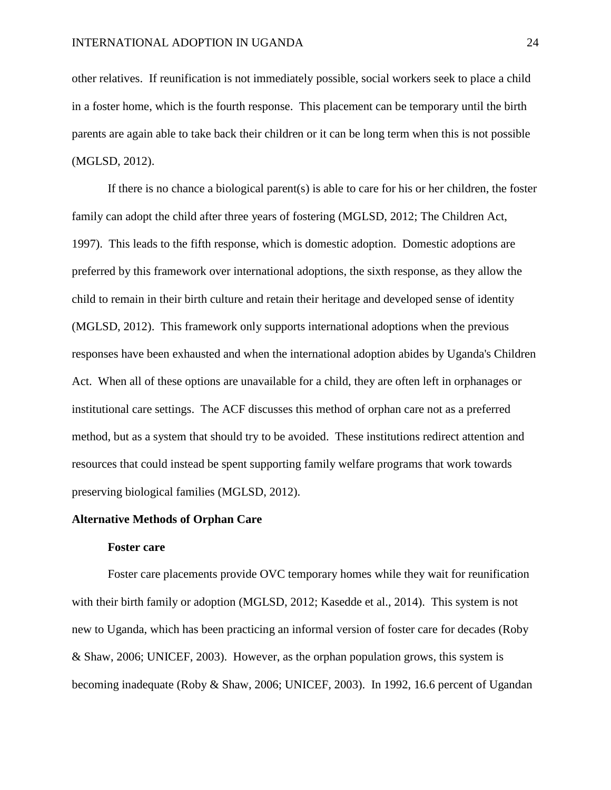other relatives. If reunification is not immediately possible, social workers seek to place a child in a foster home, which is the fourth response. This placement can be temporary until the birth parents are again able to take back their children or it can be long term when this is not possible (MGLSD, 2012).

If there is no chance a biological parent(s) is able to care for his or her children, the foster family can adopt the child after three years of fostering (MGLSD, 2012; The Children Act, 1997). This leads to the fifth response, which is domestic adoption. Domestic adoptions are preferred by this framework over international adoptions, the sixth response, as they allow the child to remain in their birth culture and retain their heritage and developed sense of identity (MGLSD, 2012). This framework only supports international adoptions when the previous responses have been exhausted and when the international adoption abides by Uganda's Children Act. When all of these options are unavailable for a child, they are often left in orphanages or institutional care settings. The ACF discusses this method of orphan care not as a preferred method, but as a system that should try to be avoided. These institutions redirect attention and resources that could instead be spent supporting family welfare programs that work towards preserving biological families (MGLSD, 2012).

#### **Alternative Methods of Orphan Care**

#### **Foster care**

Foster care placements provide OVC temporary homes while they wait for reunification with their birth family or adoption (MGLSD, 2012; Kasedde et al., 2014). This system is not new to Uganda, which has been practicing an informal version of foster care for decades (Roby & Shaw, 2006; UNICEF, 2003). However, as the orphan population grows, this system is becoming inadequate (Roby & Shaw, 2006; UNICEF, 2003). In 1992, 16.6 percent of Ugandan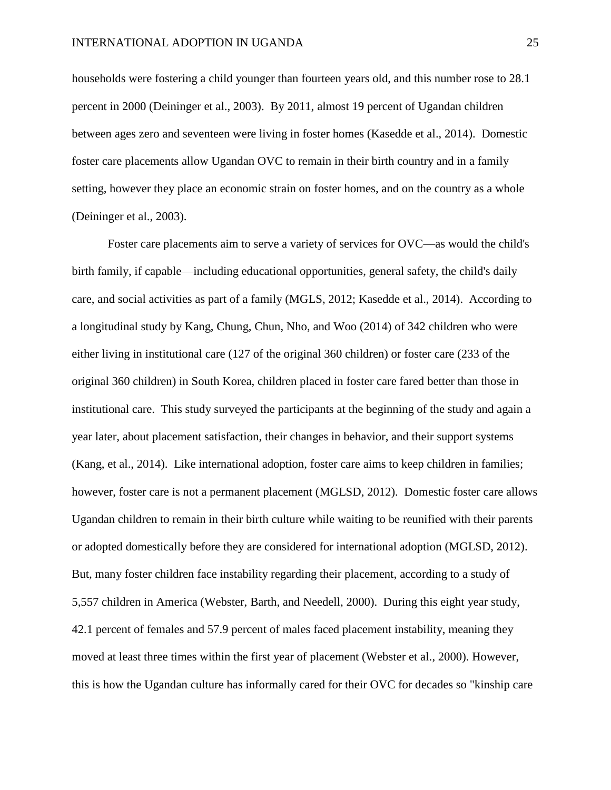households were fostering a child younger than fourteen years old, and this number rose to 28.1 percent in 2000 (Deininger et al., 2003). By 2011, almost 19 percent of Ugandan children between ages zero and seventeen were living in foster homes (Kasedde et al., 2014). Domestic foster care placements allow Ugandan OVC to remain in their birth country and in a family setting, however they place an economic strain on foster homes, and on the country as a whole (Deininger et al., 2003).

Foster care placements aim to serve a variety of services for OVC—as would the child's birth family, if capable—including educational opportunities, general safety, the child's daily care, and social activities as part of a family (MGLS, 2012; Kasedde et al., 2014). According to a longitudinal study by Kang, Chung, Chun, Nho, and Woo (2014) of 342 children who were either living in institutional care (127 of the original 360 children) or foster care (233 of the original 360 children) in South Korea, children placed in foster care fared better than those in institutional care. This study surveyed the participants at the beginning of the study and again a year later, about placement satisfaction, their changes in behavior, and their support systems (Kang, et al., 2014). Like international adoption, foster care aims to keep children in families; however, foster care is not a permanent placement (MGLSD, 2012). Domestic foster care allows Ugandan children to remain in their birth culture while waiting to be reunified with their parents or adopted domestically before they are considered for international adoption (MGLSD, 2012). But, many foster children face instability regarding their placement, according to a study of 5,557 children in America (Webster, Barth, and Needell, 2000). During this eight year study, 42.1 percent of females and 57.9 percent of males faced placement instability, meaning they moved at least three times within the first year of placement (Webster et al., 2000). However, this is how the Ugandan culture has informally cared for their OVC for decades so "kinship care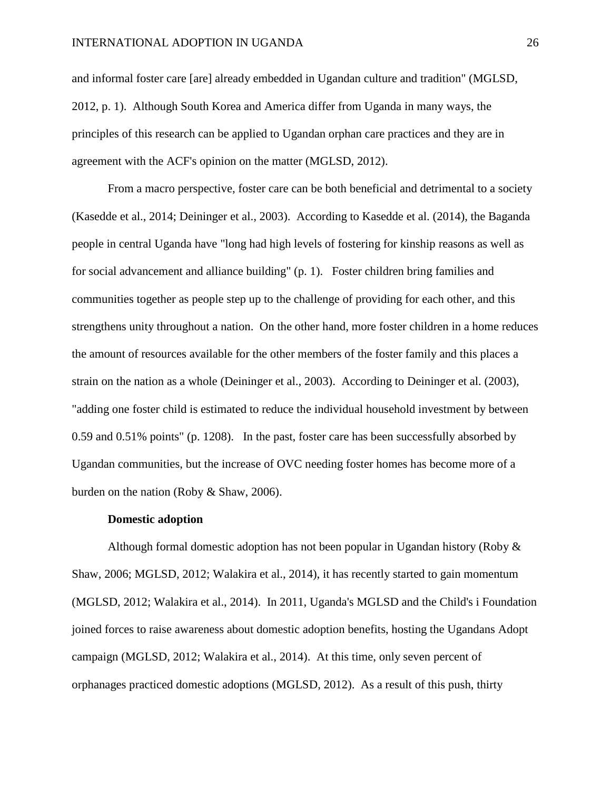and informal foster care [are] already embedded in Ugandan culture and tradition" (MGLSD, 2012, p. 1). Although South Korea and America differ from Uganda in many ways, the principles of this research can be applied to Ugandan orphan care practices and they are in agreement with the ACF's opinion on the matter (MGLSD, 2012).

From a macro perspective, foster care can be both beneficial and detrimental to a society (Kasedde et al., 2014; Deininger et al., 2003). According to Kasedde et al. (2014), the Baganda people in central Uganda have "long had high levels of fostering for kinship reasons as well as for social advancement and alliance building" (p. 1). Foster children bring families and communities together as people step up to the challenge of providing for each other, and this strengthens unity throughout a nation. On the other hand, more foster children in a home reduces the amount of resources available for the other members of the foster family and this places a strain on the nation as a whole (Deininger et al., 2003). According to Deininger et al. (2003), "adding one foster child is estimated to reduce the individual household investment by between 0.59 and 0.51% points" (p. 1208). In the past, foster care has been successfully absorbed by Ugandan communities, but the increase of OVC needing foster homes has become more of a burden on the nation (Roby & Shaw, 2006).

#### **Domestic adoption**

Although formal domestic adoption has not been popular in Ugandan history (Roby & Shaw, 2006; MGLSD, 2012; Walakira et al., 2014), it has recently started to gain momentum (MGLSD, 2012; Walakira et al., 2014). In 2011, Uganda's MGLSD and the Child's i Foundation joined forces to raise awareness about domestic adoption benefits, hosting the Ugandans Adopt campaign (MGLSD, 2012; Walakira et al., 2014). At this time, only seven percent of orphanages practiced domestic adoptions (MGLSD, 2012). As a result of this push, thirty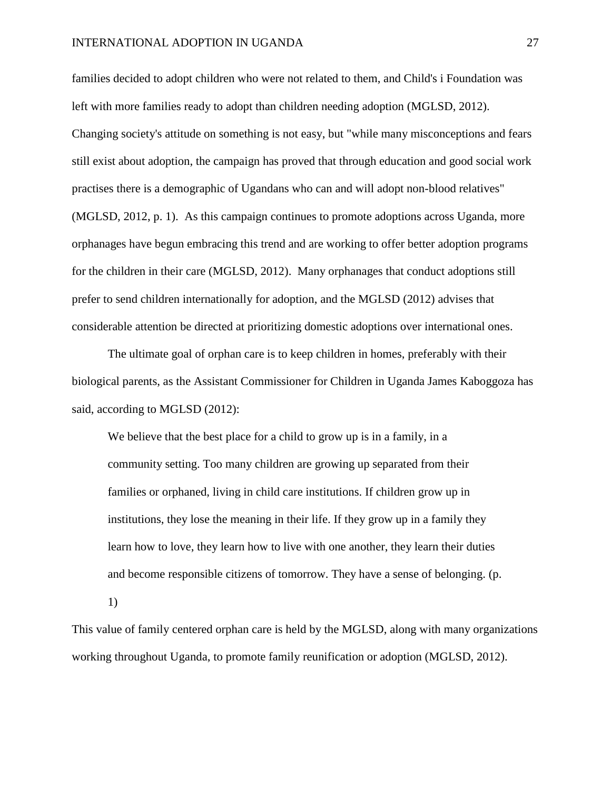families decided to adopt children who were not related to them, and Child's i Foundation was left with more families ready to adopt than children needing adoption (MGLSD, 2012). Changing society's attitude on something is not easy, but "while many misconceptions and fears still exist about adoption, the campaign has proved that through education and good social work practises there is a demographic of Ugandans who can and will adopt non-blood relatives" (MGLSD, 2012, p. 1). As this campaign continues to promote adoptions across Uganda, more orphanages have begun embracing this trend and are working to offer better adoption programs for the children in their care (MGLSD, 2012). Many orphanages that conduct adoptions still prefer to send children internationally for adoption, and the MGLSD (2012) advises that considerable attention be directed at prioritizing domestic adoptions over international ones.

The ultimate goal of orphan care is to keep children in homes, preferably with their biological parents, as the Assistant Commissioner for Children in Uganda James Kaboggoza has said, according to MGLSD (2012):

We believe that the best place for a child to grow up is in a family, in a community setting. Too many children are growing up separated from their families or orphaned, living in child care institutions. If children grow up in institutions, they lose the meaning in their life. If they grow up in a family they learn how to love, they learn how to live with one another, they learn their duties and become responsible citizens of tomorrow. They have a sense of belonging. (p.

1)

This value of family centered orphan care is held by the MGLSD, along with many organizations working throughout Uganda, to promote family reunification or adoption (MGLSD, 2012).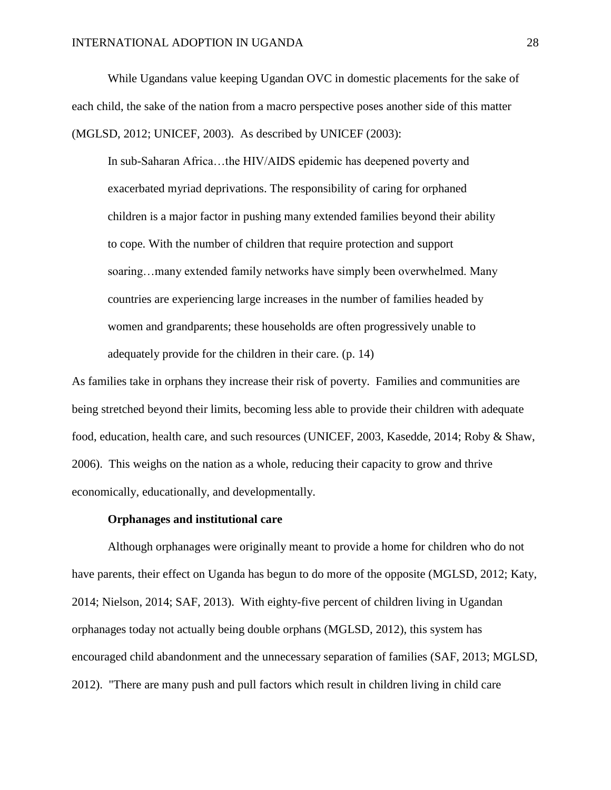While Ugandans value keeping Ugandan OVC in domestic placements for the sake of each child, the sake of the nation from a macro perspective poses another side of this matter (MGLSD, 2012; UNICEF, 2003). As described by UNICEF (2003):

In sub-Saharan Africa…the HIV/AIDS epidemic has deepened poverty and exacerbated myriad deprivations. The responsibility of caring for orphaned children is a major factor in pushing many extended families beyond their ability to cope. With the number of children that require protection and support soaring…many extended family networks have simply been overwhelmed. Many countries are experiencing large increases in the number of families headed by women and grandparents; these households are often progressively unable to adequately provide for the children in their care. (p. 14)

As families take in orphans they increase their risk of poverty. Families and communities are being stretched beyond their limits, becoming less able to provide their children with adequate food, education, health care, and such resources (UNICEF, 2003, Kasedde, 2014; Roby & Shaw, 2006). This weighs on the nation as a whole, reducing their capacity to grow and thrive economically, educationally, and developmentally.

### **Orphanages and institutional care**

Although orphanages were originally meant to provide a home for children who do not have parents, their effect on Uganda has begun to do more of the opposite (MGLSD, 2012; Katy, 2014; Nielson, 2014; SAF, 2013). With eighty-five percent of children living in Ugandan orphanages today not actually being double orphans (MGLSD, 2012), this system has encouraged child abandonment and the unnecessary separation of families (SAF, 2013; MGLSD, 2012). "There are many push and pull factors which result in children living in child care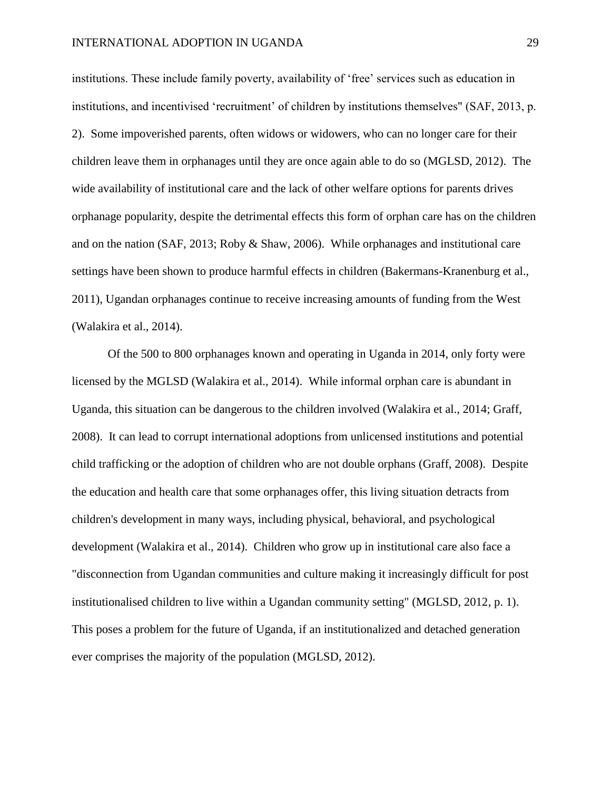institutions. These include family poverty, availability of 'free' services such as education in institutions, and incentivised 'recruitment' of children by institutions themselves" (SAF, 2013, p. 2). Some impoverished parents, often widows or widowers, who can no longer care for their children leave them in orphanages until they are once again able to do so (MGLSD, 2012). The wide availability of institutional care and the lack of other welfare options for parents drives orphanage popularity, despite the detrimental effects this form of orphan care has on the children and on the nation (SAF, 2013; Roby & Shaw, 2006). While orphanages and institutional care settings have been shown to produce harmful effects in children (Bakermans-Kranenburg et al., 2011), Ugandan orphanages continue to receive increasing amounts of funding from the West (Walakira et al., 2014).

Of the 500 to 800 orphanages known and operating in Uganda in 2014, only forty were licensed by the MGLSD (Walakira et al., 2014). While informal orphan care is abundant in Uganda, this situation can be dangerous to the children involved (Walakira et al., 2014; Graff, 2008). It can lead to corrupt international adoptions from unlicensed institutions and potential child trafficking or the adoption of children who are not double orphans (Graff, 2008). Despite the education and health care that some orphanages offer, this living situation detracts from children's development in many ways, including physical, behavioral, and psychological development (Walakira et al., 2014). Children who grow up in institutional care also face a "disconnection from Ugandan communities and culture making it increasingly difficult for post institutionalised children to live within a Ugandan community setting" (MGLSD, 2012, p. 1). This poses a problem for the future of Uganda, if an institutionalized and detached generation ever comprises the majority of the population (MGLSD, 2012).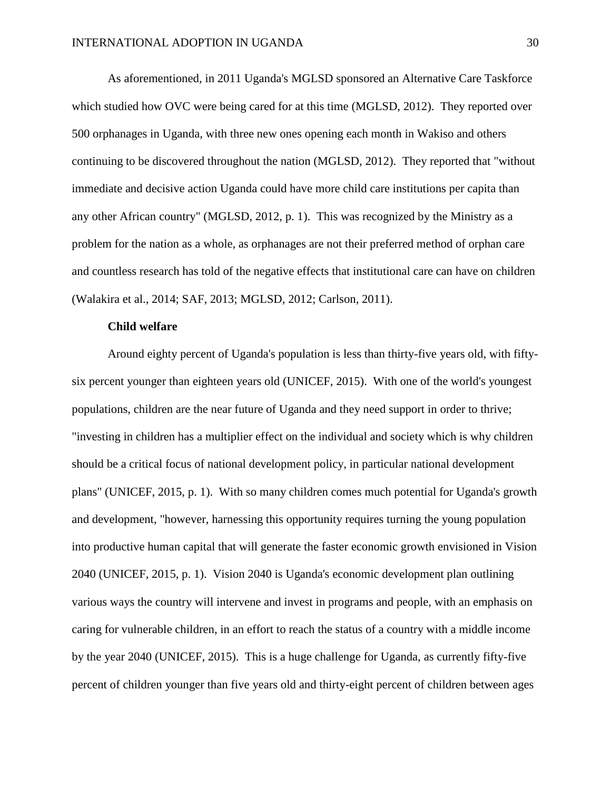As aforementioned, in 2011 Uganda's MGLSD sponsored an Alternative Care Taskforce which studied how OVC were being cared for at this time (MGLSD, 2012). They reported over 500 orphanages in Uganda, with three new ones opening each month in Wakiso and others continuing to be discovered throughout the nation (MGLSD, 2012). They reported that "without immediate and decisive action Uganda could have more child care institutions per capita than any other African country" (MGLSD, 2012, p. 1). This was recognized by the Ministry as a problem for the nation as a whole, as orphanages are not their preferred method of orphan care and countless research has told of the negative effects that institutional care can have on children (Walakira et al., 2014; SAF, 2013; MGLSD, 2012; Carlson, 2011).

#### **Child welfare**

Around eighty percent of Uganda's population is less than thirty-five years old, with fiftysix percent younger than eighteen years old (UNICEF, 2015). With one of the world's youngest populations, children are the near future of Uganda and they need support in order to thrive; "investing in children has a multiplier effect on the individual and society which is why children should be a critical focus of national development policy, in particular national development plans" (UNICEF, 2015, p. 1). With so many children comes much potential for Uganda's growth and development, "however, harnessing this opportunity requires turning the young population into productive human capital that will generate the faster economic growth envisioned in Vision 2040 (UNICEF, 2015, p. 1). Vision 2040 is Uganda's economic development plan outlining various ways the country will intervene and invest in programs and people, with an emphasis on caring for vulnerable children, in an effort to reach the status of a country with a middle income by the year 2040 (UNICEF, 2015). This is a huge challenge for Uganda, as currently fifty-five percent of children younger than five years old and thirty-eight percent of children between ages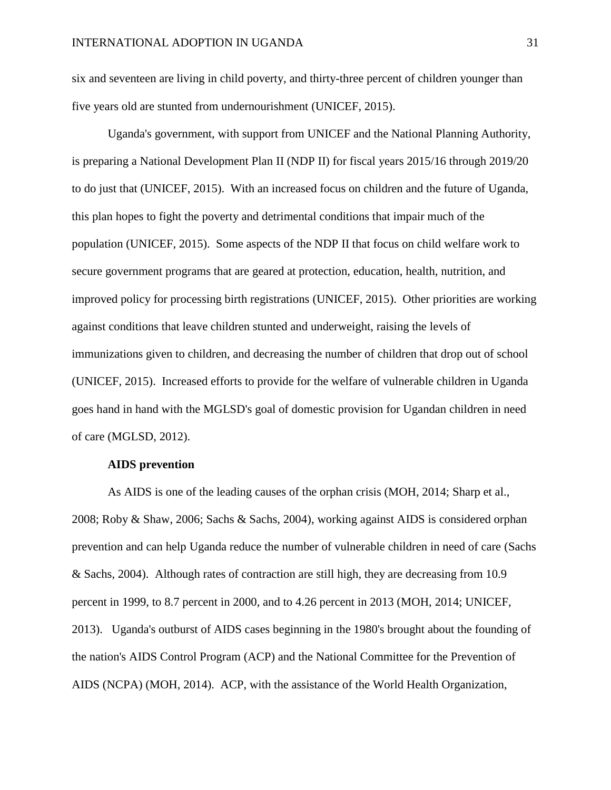six and seventeen are living in child poverty, and thirty-three percent of children younger than five years old are stunted from undernourishment (UNICEF, 2015).

Uganda's government, with support from UNICEF and the National Planning Authority, is preparing a National Development Plan II (NDP II) for fiscal years 2015/16 through 2019/20 to do just that (UNICEF, 2015). With an increased focus on children and the future of Uganda, this plan hopes to fight the poverty and detrimental conditions that impair much of the population (UNICEF, 2015). Some aspects of the NDP II that focus on child welfare work to secure government programs that are geared at protection, education, health, nutrition, and improved policy for processing birth registrations (UNICEF, 2015). Other priorities are working against conditions that leave children stunted and underweight, raising the levels of immunizations given to children, and decreasing the number of children that drop out of school (UNICEF, 2015). Increased efforts to provide for the welfare of vulnerable children in Uganda goes hand in hand with the MGLSD's goal of domestic provision for Ugandan children in need of care (MGLSD, 2012).

## **AIDS prevention**

As AIDS is one of the leading causes of the orphan crisis (MOH, 2014; Sharp et al., 2008; Roby & Shaw, 2006; Sachs & Sachs, 2004), working against AIDS is considered orphan prevention and can help Uganda reduce the number of vulnerable children in need of care (Sachs & Sachs, 2004). Although rates of contraction are still high, they are decreasing from 10.9 percent in 1999, to 8.7 percent in 2000, and to 4.26 percent in 2013 (MOH, 2014; UNICEF, 2013). Uganda's outburst of AIDS cases beginning in the 1980's brought about the founding of the nation's AIDS Control Program (ACP) and the National Committee for the Prevention of AIDS (NCPA) (MOH, 2014). ACP, with the assistance of the World Health Organization,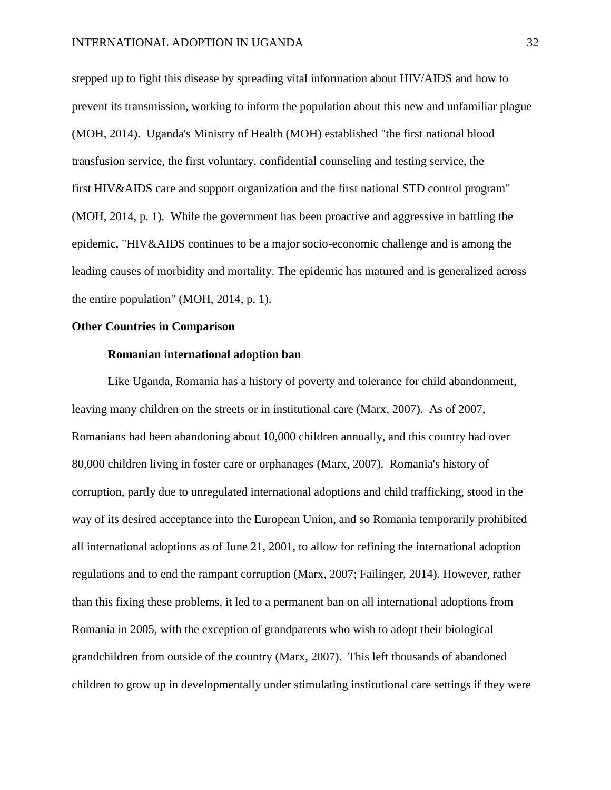stepped up to fight this disease by spreading vital information about HIV/AIDS and how to prevent its transmission, working to inform the population about this new and unfamiliar plague (MOH, 2014). Uganda's Ministry of Health (MOH) established "the first national blood transfusion service, the first voluntary, confidential counseling and testing service, the first HIV&AIDS care and support organization and the first national STD control program" (MOH, 2014, p. 1). While the government has been proactive and aggressive in battling the epidemic, "HIV&AIDS continues to be a major socio-economic challenge and is among the leading causes of morbidity and mortality. The epidemic has matured and is generalized across the entire population" (MOH, 2014, p. 1).

#### **Other Countries in Comparison**

#### **Romanian international adoption ban**

Like Uganda, Romania has a history of poverty and tolerance for child abandonment, leaving many children on the streets or in institutional care (Marx, 2007). As of 2007, Romanians had been abandoning about 10,000 children annually, and this country had over 80,000 children living in foster care or orphanages (Marx, 2007). Romania's history of corruption, partly due to unregulated international adoptions and child trafficking, stood in the way of its desired acceptance into the European Union, and so Romania temporarily prohibited all international adoptions as of June 21, 2001, to allow for refining the international adoption regulations and to end the rampant corruption (Marx, 2007; Failinger, 2014). However, rather than this fixing these problems, it led to a permanent ban on all international adoptions from Romania in 2005, with the exception of grandparents who wish to adopt their biological grandchildren from outside of the country (Marx, 2007). This left thousands of abandoned children to grow up in developmentally under stimulating institutional care settings if they were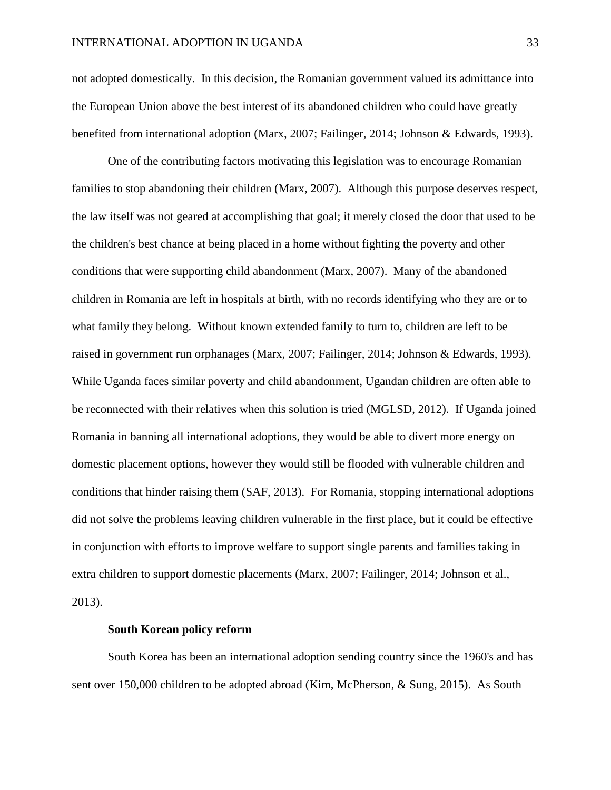not adopted domestically. In this decision, the Romanian government valued its admittance into the European Union above the best interest of its abandoned children who could have greatly benefited from international adoption (Marx, 2007; Failinger, 2014; Johnson & Edwards, 1993).

One of the contributing factors motivating this legislation was to encourage Romanian families to stop abandoning their children (Marx, 2007). Although this purpose deserves respect, the law itself was not geared at accomplishing that goal; it merely closed the door that used to be the children's best chance at being placed in a home without fighting the poverty and other conditions that were supporting child abandonment (Marx, 2007). Many of the abandoned children in Romania are left in hospitals at birth, with no records identifying who they are or to what family they belong. Without known extended family to turn to, children are left to be raised in government run orphanages (Marx, 2007; Failinger, 2014; Johnson & Edwards, 1993). While Uganda faces similar poverty and child abandonment, Ugandan children are often able to be reconnected with their relatives when this solution is tried (MGLSD, 2012). If Uganda joined Romania in banning all international adoptions, they would be able to divert more energy on domestic placement options, however they would still be flooded with vulnerable children and conditions that hinder raising them (SAF, 2013). For Romania, stopping international adoptions did not solve the problems leaving children vulnerable in the first place, but it could be effective in conjunction with efforts to improve welfare to support single parents and families taking in extra children to support domestic placements (Marx, 2007; Failinger, 2014; Johnson et al., 2013).

# **South Korean policy reform**

South Korea has been an international adoption sending country since the 1960's and has sent over 150,000 children to be adopted abroad (Kim, McPherson, & Sung, 2015). As South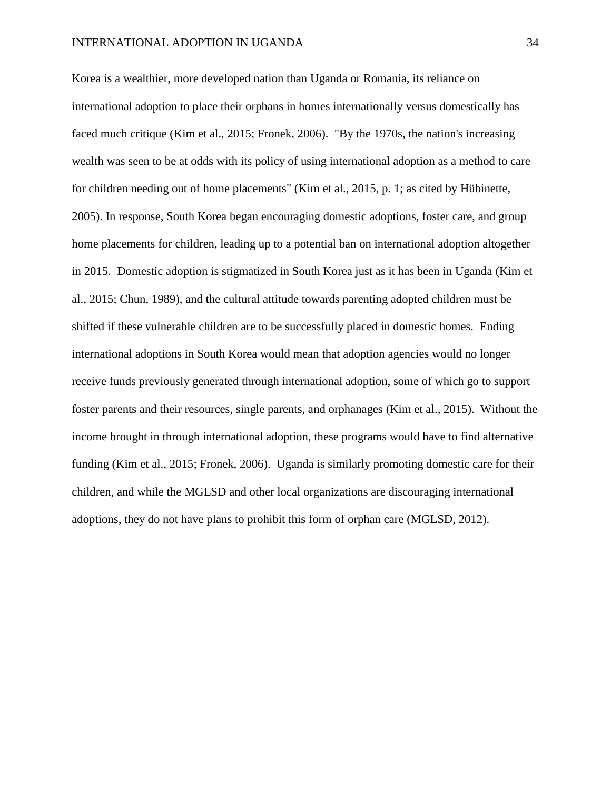Korea is a wealthier, more developed nation than Uganda or Romania, its reliance on international adoption to place their orphans in homes internationally versus domestically has faced much critique (Kim et al., 2015; Fronek, 2006). "By the 1970s, the nation's increasing wealth was seen to be at odds with its policy of using international adoption as a method to care for children needing out of home placements" (Kim et al., 2015, p. 1; as cited by [Hübinette,](http://www.sciencedirect.com.seu.idm.oclc.org/science/article/pii/S0190740914003910#bb0095)  [2005\)](http://www.sciencedirect.com.seu.idm.oclc.org/science/article/pii/S0190740914003910#bb0095). In response, South Korea began encouraging domestic adoptions, foster care, and group home placements for children, leading up to a potential ban on international adoption altogether in 2015. Domestic adoption is stigmatized in South Korea just as it has been in Uganda (Kim et al., 2015; Chun, 1989), and the cultural attitude towards parenting adopted children must be shifted if these vulnerable children are to be successfully placed in domestic homes. Ending international adoptions in South Korea would mean that adoption agencies would no longer receive funds previously generated through international adoption, some of which go to support foster parents and their resources, single parents, and orphanages (Kim et al., 2015). Without the income brought in through international adoption, these programs would have to find alternative funding (Kim et al., 2015; Fronek, 2006). Uganda is similarly promoting domestic care for their children, and while the MGLSD and other local organizations are discouraging international adoptions, they do not have plans to prohibit this form of orphan care (MGLSD, 2012).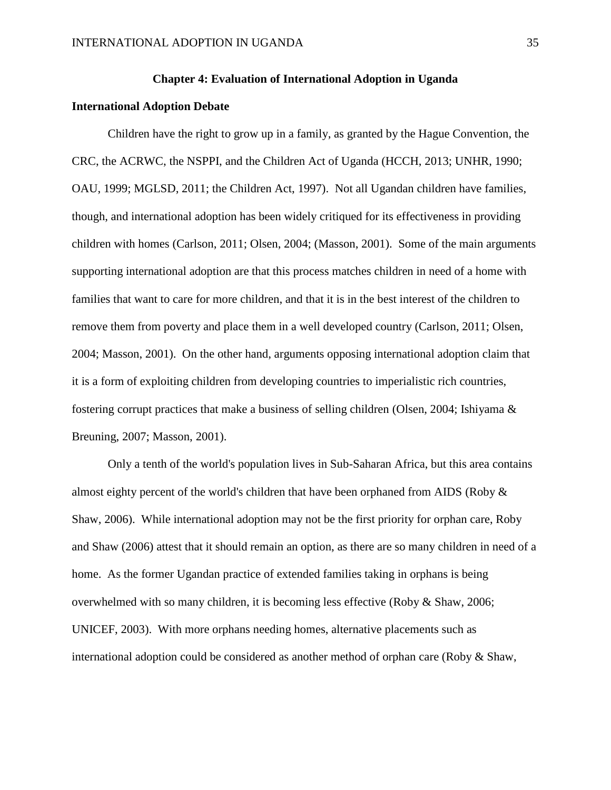## **Chapter 4: Evaluation of International Adoption in Uganda**

#### **International Adoption Debate**

Children have the right to grow up in a family, as granted by the Hague Convention, the CRC, the ACRWC, the NSPPI, and the Children Act of Uganda (HCCH, 2013; UNHR, 1990; OAU, 1999; MGLSD, 2011; the Children Act, 1997). Not all Ugandan children have families, though, and international adoption has been widely critiqued for its effectiveness in providing children with homes (Carlson, 2011; Olsen, 2004; (Masson, 2001). Some of the main arguments supporting international adoption are that this process matches children in need of a home with families that want to care for more children, and that it is in the best interest of the children to remove them from poverty and place them in a well developed country (Carlson, 2011; Olsen, 2004; Masson, 2001). On the other hand, arguments opposing international adoption claim that it is a form of exploiting children from developing countries to imperialistic rich countries, fostering corrupt practices that make a business of selling children (Olsen, 2004; Ishiyama & Breuning, 2007; Masson, 2001).

Only a tenth of the world's population lives in Sub-Saharan Africa, but this area contains almost eighty percent of the world's children that have been orphaned from AIDS (Roby & Shaw, 2006). While international adoption may not be the first priority for orphan care, Roby and Shaw (2006) attest that it should remain an option, as there are so many children in need of a home. As the former Ugandan practice of extended families taking in orphans is being overwhelmed with so many children, it is becoming less effective (Roby & Shaw, 2006; UNICEF, 2003). With more orphans needing homes, alternative placements such as international adoption could be considered as another method of orphan care (Roby & Shaw,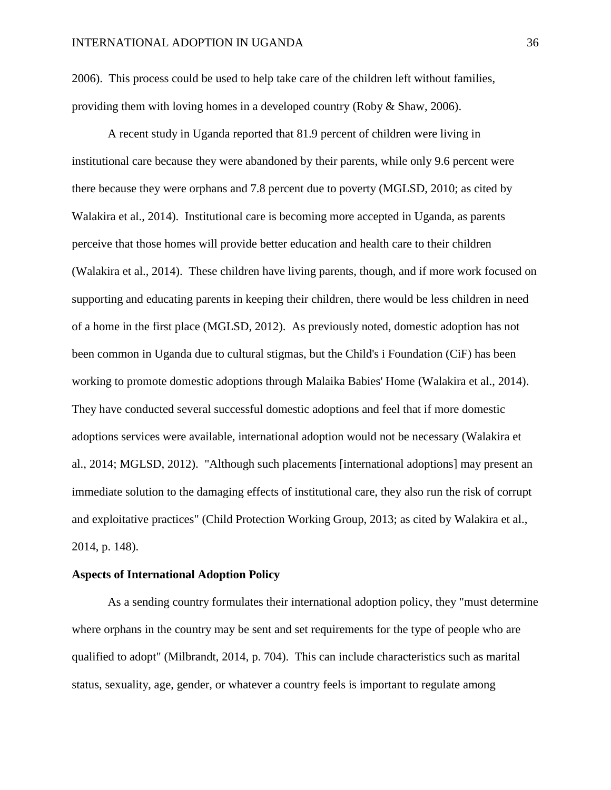2006). This process could be used to help take care of the children left without families, providing them with loving homes in a developed country (Roby & Shaw, 2006).

A recent study in Uganda reported that 81.9 percent of children were living in institutional care because they were abandoned by their parents, while only 9.6 percent were there because they were orphans and 7.8 percent due to poverty (MGLSD, 2010; as cited by Walakira et al., 2014). Institutional care is becoming more accepted in Uganda, as parents perceive that those homes will provide better education and health care to their children (Walakira et al., 2014). These children have living parents, though, and if more work focused on supporting and educating parents in keeping their children, there would be less children in need of a home in the first place (MGLSD, 2012). As previously noted, domestic adoption has not been common in Uganda due to cultural stigmas, but the Child's i Foundation (CiF) has been working to promote domestic adoptions through Malaika Babies' Home (Walakira et al., 2014). They have conducted several successful domestic adoptions and feel that if more domestic adoptions services were available, international adoption would not be necessary (Walakira et al., 2014; MGLSD, 2012). "Although such placements [international adoptions] may present an immediate solution to the damaging effects of institutional care, they also run the risk of corrupt and exploitative practices" (Child Protection Working Group, 2013; as cited by Walakira et al., 2014, p. 148).

#### **Aspects of International Adoption Policy**

As a sending country formulates their international adoption policy, they "must determine where orphans in the country may be sent and set requirements for the type of people who are qualified to adopt" (Milbrandt, 2014, p. 704). This can include characteristics such as marital status, sexuality, age, gender, or whatever a country feels is important to regulate among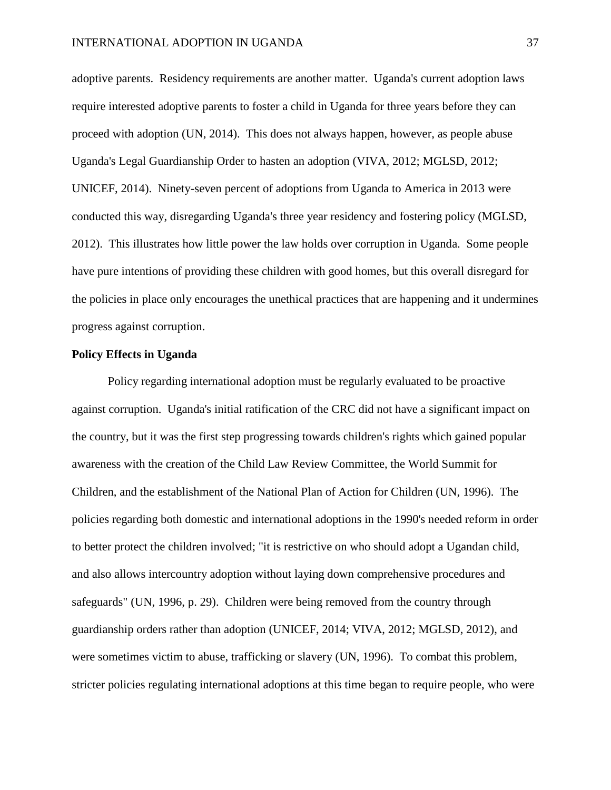adoptive parents. Residency requirements are another matter. Uganda's current adoption laws require interested adoptive parents to foster a child in Uganda for three years before they can proceed with adoption (UN, 2014). This does not always happen, however, as people abuse Uganda's Legal Guardianship Order to hasten an adoption (VIVA, 2012; MGLSD, 2012; UNICEF, 2014). Ninety-seven percent of adoptions from Uganda to America in 2013 were conducted this way, disregarding Uganda's three year residency and fostering policy (MGLSD, 2012). This illustrates how little power the law holds over corruption in Uganda. Some people have pure intentions of providing these children with good homes, but this overall disregard for the policies in place only encourages the unethical practices that are happening and it undermines progress against corruption.

#### **Policy Effects in Uganda**

Policy regarding international adoption must be regularly evaluated to be proactive against corruption. Uganda's initial ratification of the CRC did not have a significant impact on the country, but it was the first step progressing towards children's rights which gained popular awareness with the creation of the Child Law Review Committee, the World Summit for Children, and the establishment of the National Plan of Action for Children (UN, 1996). The policies regarding both domestic and international adoptions in the 1990's needed reform in order to better protect the children involved; "it is restrictive on who should adopt a Ugandan child, and also allows intercountry adoption without laying down comprehensive procedures and safeguards" (UN, 1996, p. 29). Children were being removed from the country through guardianship orders rather than adoption (UNICEF, 2014; VIVA, 2012; MGLSD, 2012), and were sometimes victim to abuse, trafficking or slavery (UN, 1996). To combat this problem, stricter policies regulating international adoptions at this time began to require people, who were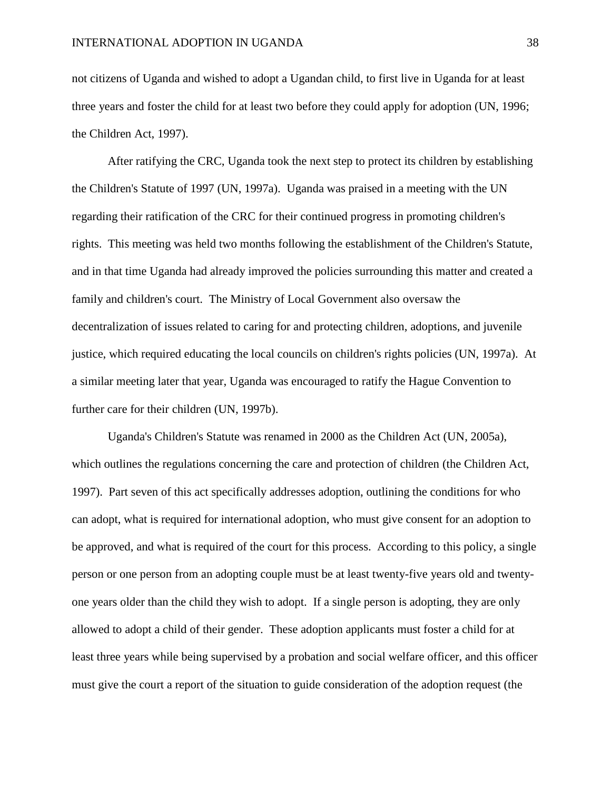not citizens of Uganda and wished to adopt a Ugandan child, to first live in Uganda for at least three years and foster the child for at least two before they could apply for adoption (UN, 1996; the Children Act, 1997).

After ratifying the CRC, Uganda took the next step to protect its children by establishing the Children's Statute of 1997 (UN, 1997a). Uganda was praised in a meeting with the UN regarding their ratification of the CRC for their continued progress in promoting children's rights. This meeting was held two months following the establishment of the Children's Statute, and in that time Uganda had already improved the policies surrounding this matter and created a family and children's court. The Ministry of Local Government also oversaw the decentralization of issues related to caring for and protecting children, adoptions, and juvenile justice, which required educating the local councils on children's rights policies (UN, 1997a). At a similar meeting later that year, Uganda was encouraged to ratify the Hague Convention to further care for their children (UN, 1997b).

Uganda's Children's Statute was renamed in 2000 as the Children Act (UN, 2005a), which outlines the regulations concerning the care and protection of children (the Children Act, 1997). Part seven of this act specifically addresses adoption, outlining the conditions for who can adopt, what is required for international adoption, who must give consent for an adoption to be approved, and what is required of the court for this process. According to this policy, a single person or one person from an adopting couple must be at least twenty-five years old and twentyone years older than the child they wish to adopt. If a single person is adopting, they are only allowed to adopt a child of their gender. These adoption applicants must foster a child for at least three years while being supervised by a probation and social welfare officer, and this officer must give the court a report of the situation to guide consideration of the adoption request (the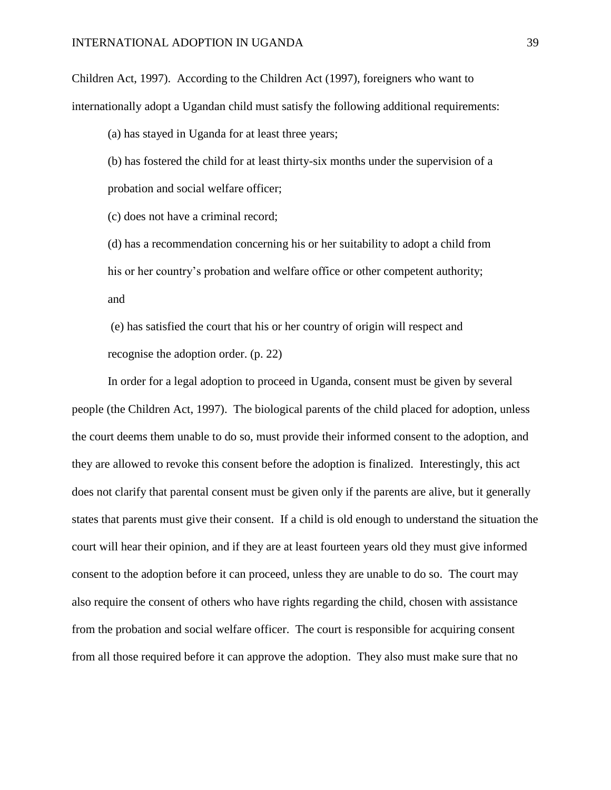Children Act, 1997). According to the Children Act (1997), foreigners who want to internationally adopt a Ugandan child must satisfy the following additional requirements:

(a) has stayed in Uganda for at least three years;

(b) has fostered the child for at least thirty-six months under the supervision of a probation and social welfare officer;

(c) does not have a criminal record;

(d) has a recommendation concerning his or her suitability to adopt a child from his or her country's probation and welfare office or other competent authority; and

(e) has satisfied the court that his or her country of origin will respect and recognise the adoption order. (p. 22)

In order for a legal adoption to proceed in Uganda, consent must be given by several people (the Children Act, 1997). The biological parents of the child placed for adoption, unless the court deems them unable to do so, must provide their informed consent to the adoption, and they are allowed to revoke this consent before the adoption is finalized. Interestingly, this act does not clarify that parental consent must be given only if the parents are alive, but it generally states that parents must give their consent. If a child is old enough to understand the situation the court will hear their opinion, and if they are at least fourteen years old they must give informed consent to the adoption before it can proceed, unless they are unable to do so. The court may also require the consent of others who have rights regarding the child, chosen with assistance from the probation and social welfare officer. The court is responsible for acquiring consent from all those required before it can approve the adoption. They also must make sure that no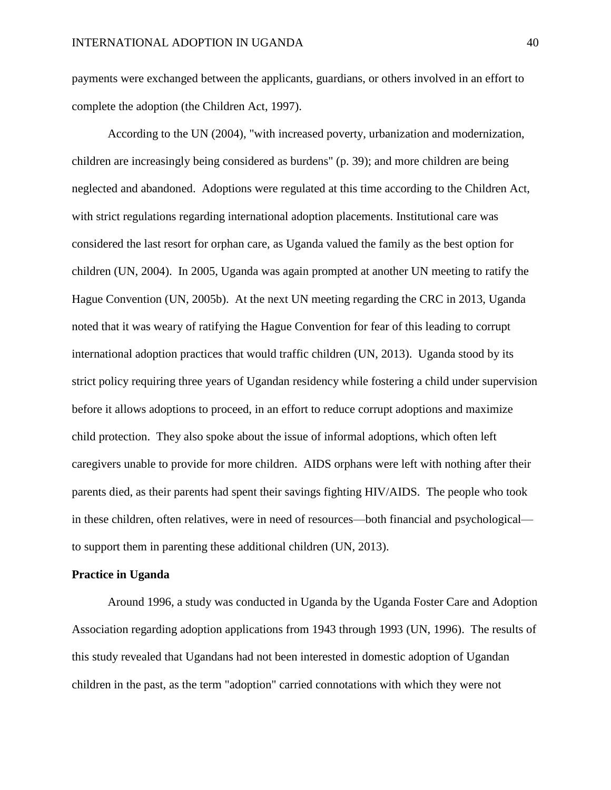payments were exchanged between the applicants, guardians, or others involved in an effort to complete the adoption (the Children Act, 1997).

According to the UN (2004), "with increased poverty, urbanization and modernization, children are increasingly being considered as burdens" (p. 39); and more children are being neglected and abandoned. Adoptions were regulated at this time according to the Children Act, with strict regulations regarding international adoption placements. Institutional care was considered the last resort for orphan care, as Uganda valued the family as the best option for children (UN, 2004). In 2005, Uganda was again prompted at another UN meeting to ratify the Hague Convention (UN, 2005b). At the next UN meeting regarding the CRC in 2013, Uganda noted that it was weary of ratifying the Hague Convention for fear of this leading to corrupt international adoption practices that would traffic children (UN, 2013). Uganda stood by its strict policy requiring three years of Ugandan residency while fostering a child under supervision before it allows adoptions to proceed, in an effort to reduce corrupt adoptions and maximize child protection. They also spoke about the issue of informal adoptions, which often left caregivers unable to provide for more children. AIDS orphans were left with nothing after their parents died, as their parents had spent their savings fighting HIV/AIDS. The people who took in these children, often relatives, were in need of resources—both financial and psychological to support them in parenting these additional children (UN, 2013).

#### **Practice in Uganda**

Around 1996, a study was conducted in Uganda by the Uganda Foster Care and Adoption Association regarding adoption applications from 1943 through 1993 (UN, 1996). The results of this study revealed that Ugandans had not been interested in domestic adoption of Ugandan children in the past, as the term "adoption" carried connotations with which they were not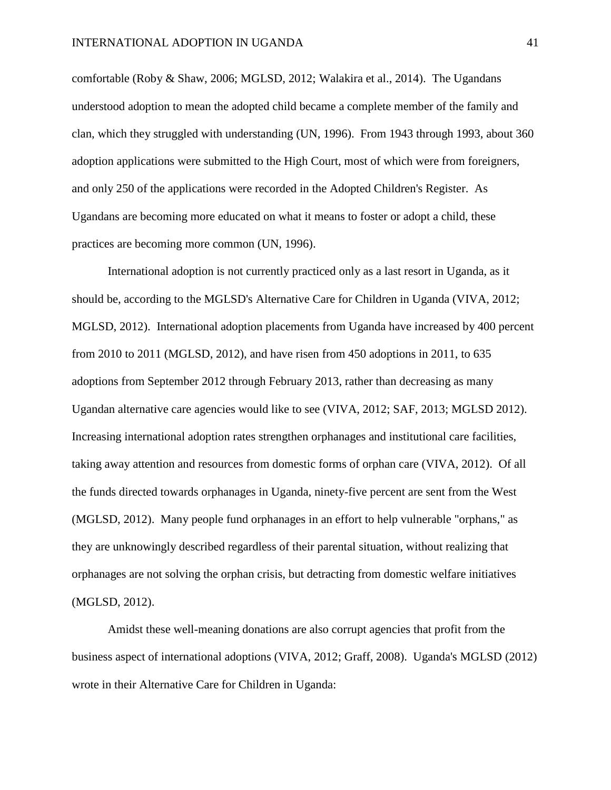comfortable (Roby & Shaw, 2006; MGLSD, 2012; Walakira et al., 2014). The Ugandans understood adoption to mean the adopted child became a complete member of the family and clan, which they struggled with understanding (UN, 1996). From 1943 through 1993, about 360 adoption applications were submitted to the High Court, most of which were from foreigners, and only 250 of the applications were recorded in the Adopted Children's Register. As Ugandans are becoming more educated on what it means to foster or adopt a child, these practices are becoming more common (UN, 1996).

International adoption is not currently practiced only as a last resort in Uganda, as it should be, according to the MGLSD's Alternative Care for Children in Uganda (VIVA, 2012; MGLSD, 2012). International adoption placements from Uganda have increased by 400 percent from 2010 to 2011 (MGLSD, 2012), and have risen from 450 adoptions in 2011, to 635 adoptions from September 2012 through February 2013, rather than decreasing as many Ugandan alternative care agencies would like to see (VIVA, 2012; SAF, 2013; MGLSD 2012). Increasing international adoption rates strengthen orphanages and institutional care facilities, taking away attention and resources from domestic forms of orphan care (VIVA, 2012). Of all the funds directed towards orphanages in Uganda, ninety-five percent are sent from the West (MGLSD, 2012). Many people fund orphanages in an effort to help vulnerable "orphans," as they are unknowingly described regardless of their parental situation, without realizing that orphanages are not solving the orphan crisis, but detracting from domestic welfare initiatives (MGLSD, 2012).

Amidst these well-meaning donations are also corrupt agencies that profit from the business aspect of international adoptions (VIVA, 2012; Graff, 2008). Uganda's MGLSD (2012) wrote in their Alternative Care for Children in Uganda: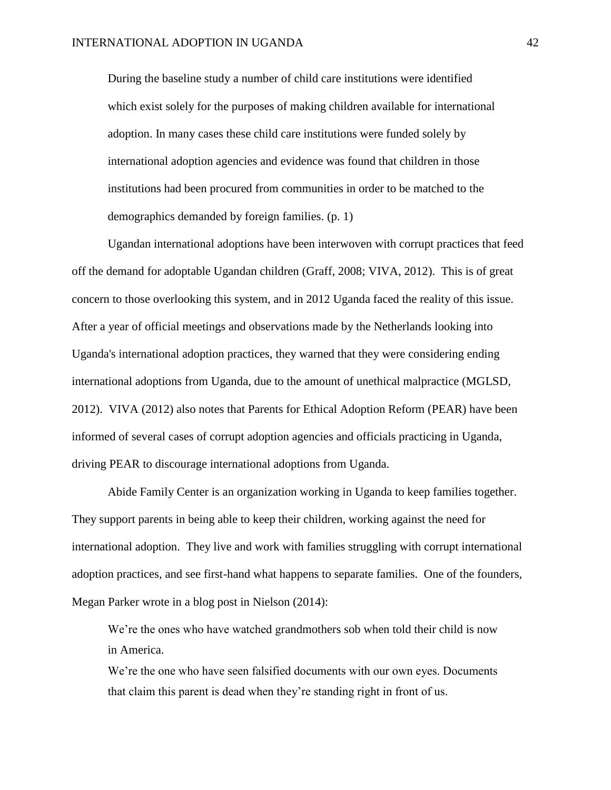During the baseline study a number of child care institutions were identified which exist solely for the purposes of making children available for international adoption. In many cases these child care institutions were funded solely by international adoption agencies and evidence was found that children in those institutions had been procured from communities in order to be matched to the demographics demanded by foreign families. (p. 1)

Ugandan international adoptions have been interwoven with corrupt practices that feed off the demand for adoptable Ugandan children (Graff, 2008; VIVA, 2012). This is of great concern to those overlooking this system, and in 2012 Uganda faced the reality of this issue. After a year of official meetings and observations made by the Netherlands looking into Uganda's international adoption practices, they warned that they were considering ending international adoptions from Uganda, due to the amount of unethical malpractice (MGLSD, 2012). VIVA (2012) also notes that Parents for Ethical Adoption Reform (PEAR) have been informed of several cases of corrupt adoption agencies and officials practicing in Uganda, driving PEAR to discourage international adoptions from Uganda.

Abide Family Center is an organization working in Uganda to keep families together. They support parents in being able to keep their children, working against the need for international adoption. They live and work with families struggling with corrupt international adoption practices, and see first-hand what happens to separate families. One of the founders, Megan Parker wrote in a blog post in Nielson (2014):

We're the ones who have watched grandmothers sob when told their child is now in America.

We're the one who have seen falsified documents with our own eyes. Documents that claim this parent is dead when they're standing right in front of us.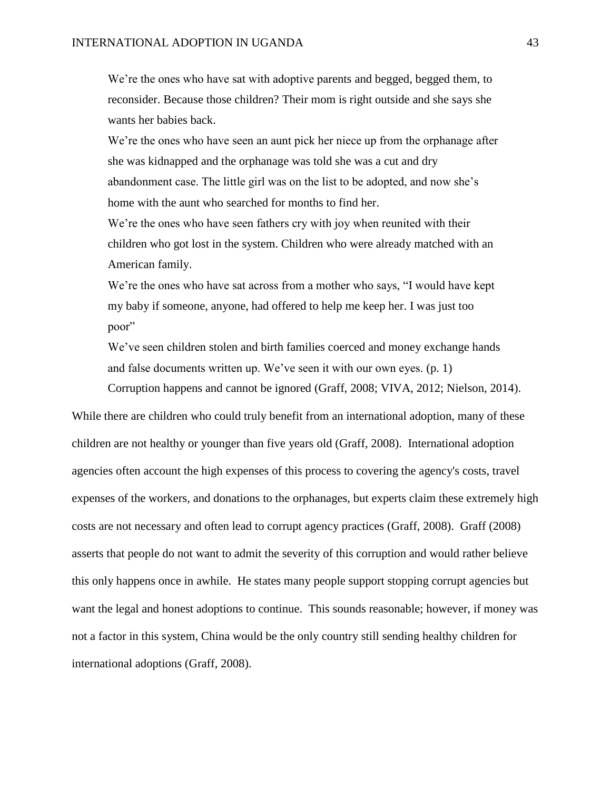We're the ones who have sat with adoptive parents and begged, begged them, to reconsider. Because those children? Their mom is right outside and she says she wants her babies back.

We're the ones who have seen an aunt pick her niece up from the orphanage after she was kidnapped and the orphanage was told she was a cut and dry abandonment case. The little girl was on the list to be adopted, and now she's home with the aunt who searched for months to find her.

We're the ones who have seen fathers cry with joy when reunited with their children who got lost in the system. Children who were already matched with an American family.

We're the ones who have sat across from a mother who says, "I would have kept my baby if someone, anyone, had offered to help me keep her. I was just too poor"

We've seen children stolen and birth families coerced and money exchange hands and false documents written up. We've seen it with our own eyes. (p. 1)

Corruption happens and cannot be ignored (Graff, 2008; VIVA, 2012; Nielson, 2014).

While there are children who could truly benefit from an international adoption, many of these children are not healthy or younger than five years old (Graff, 2008). International adoption agencies often account the high expenses of this process to covering the agency's costs, travel expenses of the workers, and donations to the orphanages, but experts claim these extremely high costs are not necessary and often lead to corrupt agency practices (Graff, 2008). Graff (2008) asserts that people do not want to admit the severity of this corruption and would rather believe this only happens once in awhile. He states many people support stopping corrupt agencies but want the legal and honest adoptions to continue. This sounds reasonable; however, if money was not a factor in this system, China would be the only country still sending healthy children for international adoptions (Graff, 2008).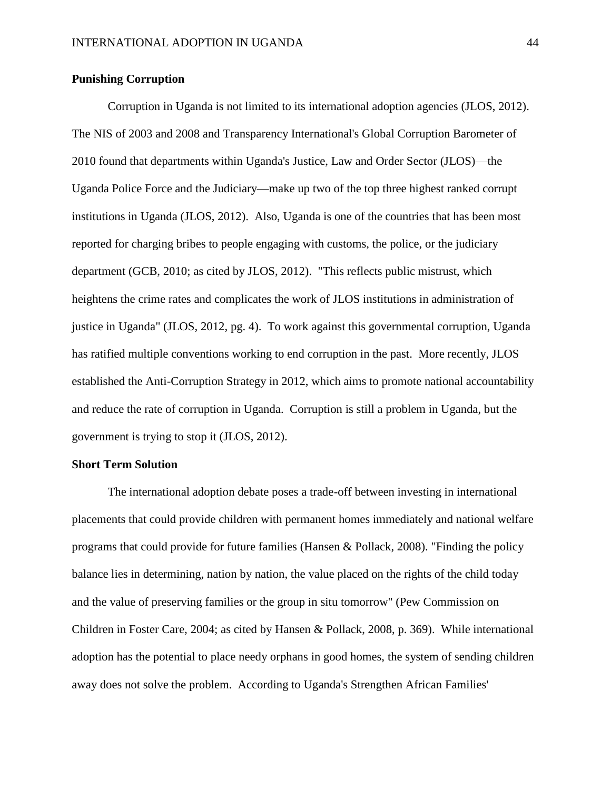# **Punishing Corruption**

Corruption in Uganda is not limited to its international adoption agencies (JLOS, 2012). The NIS of 2003 and 2008 and Transparency International's Global Corruption Barometer of 2010 found that departments within Uganda's Justice, Law and Order Sector (JLOS)—the Uganda Police Force and the Judiciary—make up two of the top three highest ranked corrupt institutions in Uganda (JLOS, 2012). Also, Uganda is one of the countries that has been most reported for charging bribes to people engaging with customs, the police, or the judiciary department (GCB, 2010; as cited by JLOS, 2012). "This reflects public mistrust, which heightens the crime rates and complicates the work of JLOS institutions in administration of justice in Uganda" (JLOS, 2012, pg. 4). To work against this governmental corruption, Uganda has ratified multiple conventions working to end corruption in the past. More recently, JLOS established the Anti-Corruption Strategy in 2012, which aims to promote national accountability and reduce the rate of corruption in Uganda. Corruption is still a problem in Uganda, but the government is trying to stop it (JLOS, 2012).

#### **Short Term Solution**

The international adoption debate poses a trade-off between investing in international placements that could provide children with permanent homes immediately and national welfare programs that could provide for future families (Hansen & Pollack, 2008). "Finding the policy balance lies in determining, nation by nation, the value placed on the rights of the child today and the value of preserving families or the group in situ tomorrow" (Pew Commission on Children in Foster Care, 2004; as cited by Hansen & Pollack, 2008, p. 369). While international adoption has the potential to place needy orphans in good homes, the system of sending children away does not solve the problem. According to Uganda's Strengthen African Families'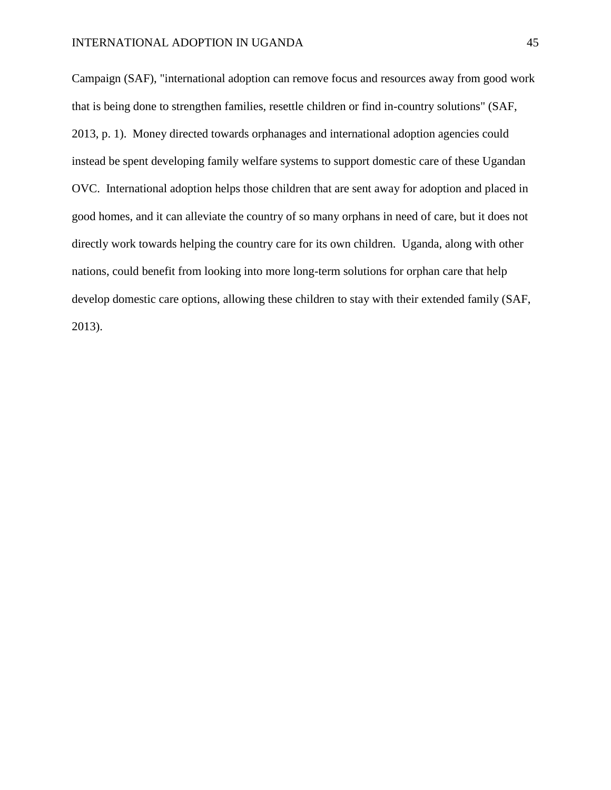Campaign (SAF), "international adoption can remove focus and resources away from good work that is being done to strengthen families, resettle children or find in-country solutions" (SAF, 2013, p. 1). Money directed towards orphanages and international adoption agencies could instead be spent developing family welfare systems to support domestic care of these Ugandan OVC. International adoption helps those children that are sent away for adoption and placed in good homes, and it can alleviate the country of so many orphans in need of care, but it does not directly work towards helping the country care for its own children. Uganda, along with other nations, could benefit from looking into more long-term solutions for orphan care that help develop domestic care options, allowing these children to stay with their extended family (SAF, 2013).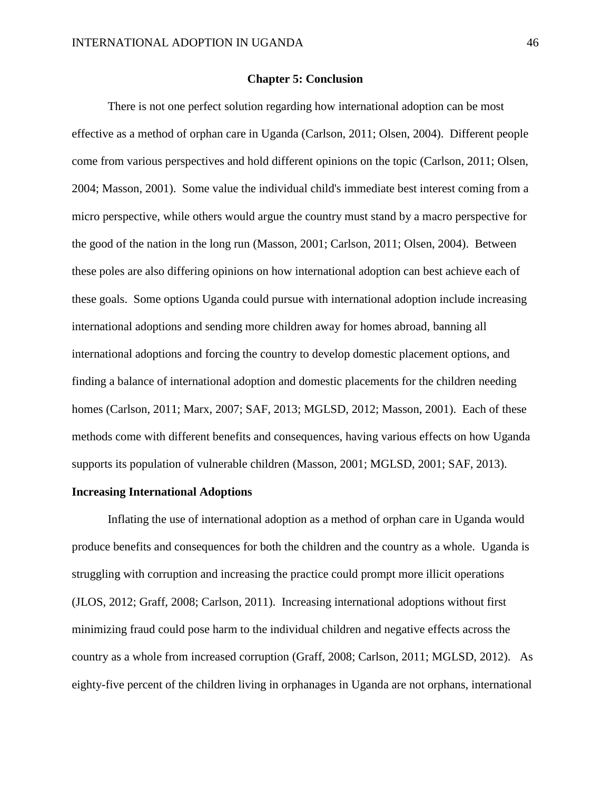#### **Chapter 5: Conclusion**

There is not one perfect solution regarding how international adoption can be most effective as a method of orphan care in Uganda (Carlson, 2011; Olsen, 2004). Different people come from various perspectives and hold different opinions on the topic (Carlson, 2011; Olsen, 2004; Masson, 2001). Some value the individual child's immediate best interest coming from a micro perspective, while others would argue the country must stand by a macro perspective for the good of the nation in the long run (Masson, 2001; Carlson, 2011; Olsen, 2004). Between these poles are also differing opinions on how international adoption can best achieve each of these goals. Some options Uganda could pursue with international adoption include increasing international adoptions and sending more children away for homes abroad, banning all international adoptions and forcing the country to develop domestic placement options, and finding a balance of international adoption and domestic placements for the children needing homes (Carlson, 2011; Marx, 2007; SAF, 2013; MGLSD, 2012; Masson, 2001). Each of these methods come with different benefits and consequences, having various effects on how Uganda supports its population of vulnerable children (Masson, 2001; MGLSD, 2001; SAF, 2013).

# **Increasing International Adoptions**

Inflating the use of international adoption as a method of orphan care in Uganda would produce benefits and consequences for both the children and the country as a whole. Uganda is struggling with corruption and increasing the practice could prompt more illicit operations (JLOS, 2012; Graff, 2008; Carlson, 2011). Increasing international adoptions without first minimizing fraud could pose harm to the individual children and negative effects across the country as a whole from increased corruption (Graff, 2008; Carlson, 2011; MGLSD, 2012). As eighty-five percent of the children living in orphanages in Uganda are not orphans, international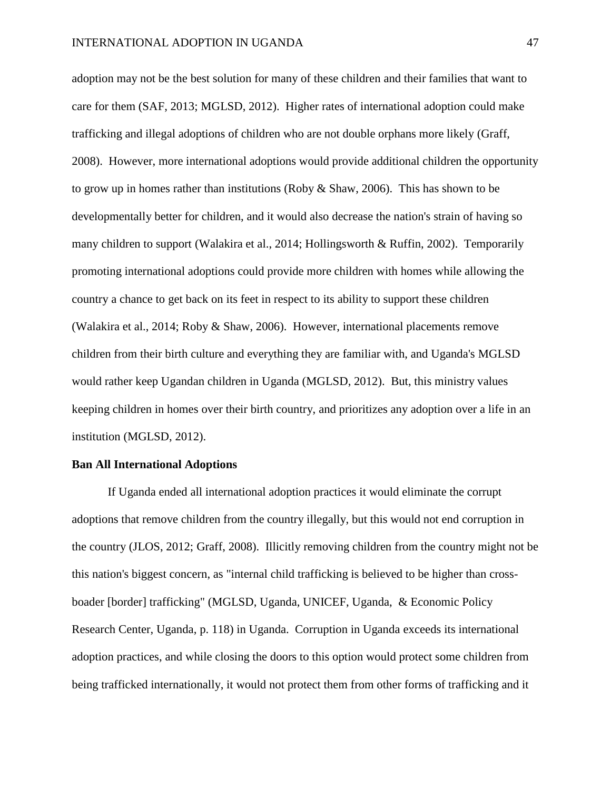adoption may not be the best solution for many of these children and their families that want to care for them (SAF, 2013; MGLSD, 2012). Higher rates of international adoption could make trafficking and illegal adoptions of children who are not double orphans more likely (Graff, 2008). However, more international adoptions would provide additional children the opportunity to grow up in homes rather than institutions (Roby & Shaw, 2006). This has shown to be developmentally better for children, and it would also decrease the nation's strain of having so many children to support (Walakira et al., 2014; Hollingsworth & Ruffin, 2002). Temporarily promoting international adoptions could provide more children with homes while allowing the country a chance to get back on its feet in respect to its ability to support these children (Walakira et al., 2014; Roby & Shaw, 2006). However, international placements remove children from their birth culture and everything they are familiar with, and Uganda's MGLSD would rather keep Ugandan children in Uganda (MGLSD, 2012). But, this ministry values keeping children in homes over their birth country, and prioritizes any adoption over a life in an institution (MGLSD, 2012).

#### **Ban All International Adoptions**

If Uganda ended all international adoption practices it would eliminate the corrupt adoptions that remove children from the country illegally, but this would not end corruption in the country (JLOS, 2012; Graff, 2008). Illicitly removing children from the country might not be this nation's biggest concern, as "internal child trafficking is believed to be higher than crossboader [border] trafficking" (MGLSD, Uganda, UNICEF, Uganda, & Economic Policy Research Center, Uganda, p. 118) in Uganda. Corruption in Uganda exceeds its international adoption practices, and while closing the doors to this option would protect some children from being trafficked internationally, it would not protect them from other forms of trafficking and it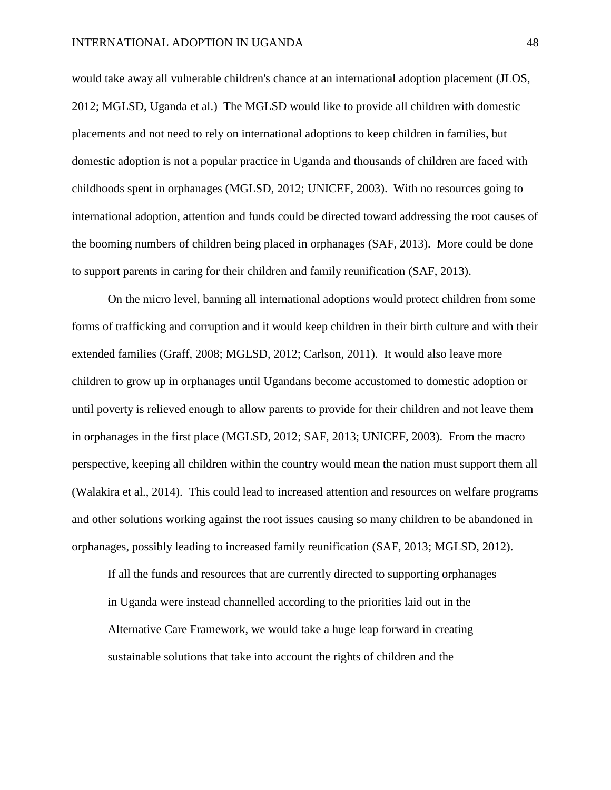would take away all vulnerable children's chance at an international adoption placement (JLOS, 2012; MGLSD, Uganda et al.) The MGLSD would like to provide all children with domestic placements and not need to rely on international adoptions to keep children in families, but domestic adoption is not a popular practice in Uganda and thousands of children are faced with childhoods spent in orphanages (MGLSD, 2012; UNICEF, 2003). With no resources going to international adoption, attention and funds could be directed toward addressing the root causes of the booming numbers of children being placed in orphanages (SAF, 2013). More could be done to support parents in caring for their children and family reunification (SAF, 2013).

On the micro level, banning all international adoptions would protect children from some forms of trafficking and corruption and it would keep children in their birth culture and with their extended families (Graff, 2008; MGLSD, 2012; Carlson, 2011). It would also leave more children to grow up in orphanages until Ugandans become accustomed to domestic adoption or until poverty is relieved enough to allow parents to provide for their children and not leave them in orphanages in the first place (MGLSD, 2012; SAF, 2013; UNICEF, 2003). From the macro perspective, keeping all children within the country would mean the nation must support them all (Walakira et al., 2014). This could lead to increased attention and resources on welfare programs and other solutions working against the root issues causing so many children to be abandoned in orphanages, possibly leading to increased family reunification (SAF, 2013; MGLSD, 2012).

If all the funds and resources that are currently directed to supporting orphanages in Uganda were instead channelled according to the priorities laid out in the Alternative Care Framework, we would take a huge leap forward in creating sustainable solutions that take into account the rights of children and the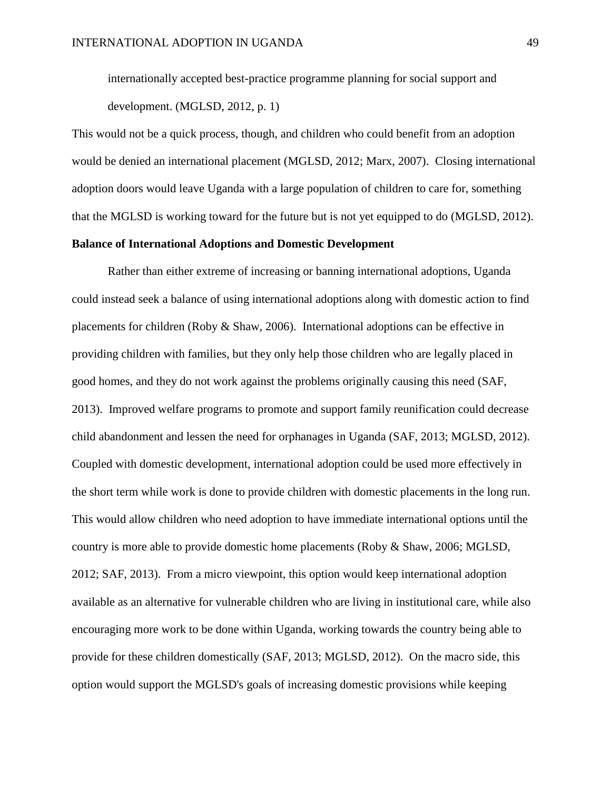internationally accepted best-practice programme planning for social support and development. (MGLSD, 2012, p. 1)

This would not be a quick process, though, and children who could benefit from an adoption would be denied an international placement (MGLSD, 2012; Marx, 2007). Closing international adoption doors would leave Uganda with a large population of children to care for, something that the MGLSD is working toward for the future but is not yet equipped to do (MGLSD, 2012).

# **Balance of International Adoptions and Domestic Development**

Rather than either extreme of increasing or banning international adoptions, Uganda could instead seek a balance of using international adoptions along with domestic action to find placements for children (Roby & Shaw, 2006). International adoptions can be effective in providing children with families, but they only help those children who are legally placed in good homes, and they do not work against the problems originally causing this need (SAF, 2013). Improved welfare programs to promote and support family reunification could decrease child abandonment and lessen the need for orphanages in Uganda (SAF, 2013; MGLSD, 2012). Coupled with domestic development, international adoption could be used more effectively in the short term while work is done to provide children with domestic placements in the long run. This would allow children who need adoption to have immediate international options until the country is more able to provide domestic home placements (Roby & Shaw, 2006; MGLSD, 2012; SAF, 2013). From a micro viewpoint, this option would keep international adoption available as an alternative for vulnerable children who are living in institutional care, while also encouraging more work to be done within Uganda, working towards the country being able to provide for these children domestically (SAF, 2013; MGLSD, 2012). On the macro side, this option would support the MGLSD's goals of increasing domestic provisions while keeping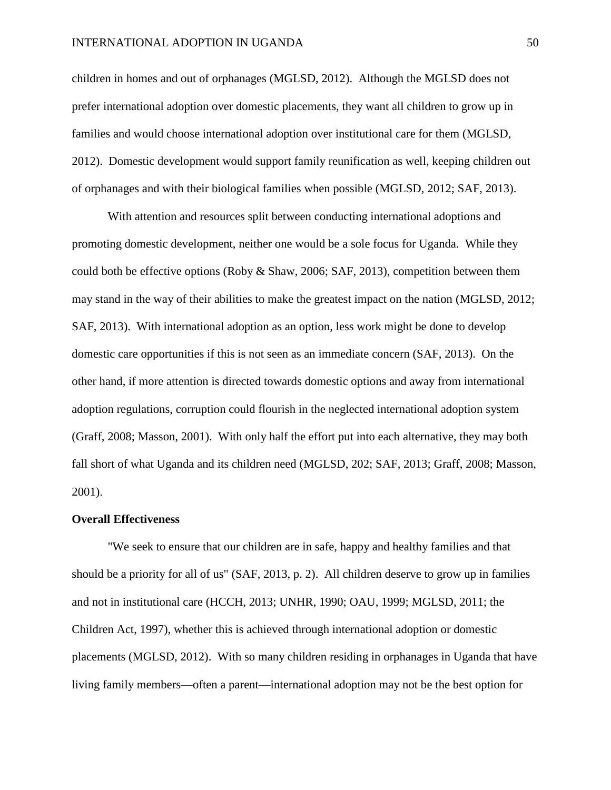children in homes and out of orphanages (MGLSD, 2012). Although the MGLSD does not prefer international adoption over domestic placements, they want all children to grow up in families and would choose international adoption over institutional care for them (MGLSD, 2012). Domestic development would support family reunification as well, keeping children out of orphanages and with their biological families when possible (MGLSD, 2012; SAF, 2013).

With attention and resources split between conducting international adoptions and promoting domestic development, neither one would be a sole focus for Uganda. While they could both be effective options (Roby & Shaw, 2006; SAF, 2013), competition between them may stand in the way of their abilities to make the greatest impact on the nation (MGLSD, 2012; SAF, 2013). With international adoption as an option, less work might be done to develop domestic care opportunities if this is not seen as an immediate concern (SAF, 2013). On the other hand, if more attention is directed towards domestic options and away from international adoption regulations, corruption could flourish in the neglected international adoption system (Graff, 2008; Masson, 2001). With only half the effort put into each alternative, they may both fall short of what Uganda and its children need (MGLSD, 202; SAF, 2013; Graff, 2008; Masson, 2001).

#### **Overall Effectiveness**

"We seek to ensure that our children are in safe, happy and healthy families and that should be a priority for all of us" (SAF, 2013, p. 2). All children deserve to grow up in families and not in institutional care (HCCH, 2013; UNHR, 1990; OAU, 1999; MGLSD, 2011; the Children Act, 1997), whether this is achieved through international adoption or domestic placements (MGLSD, 2012). With so many children residing in orphanages in Uganda that have living family members—often a parent—international adoption may not be the best option for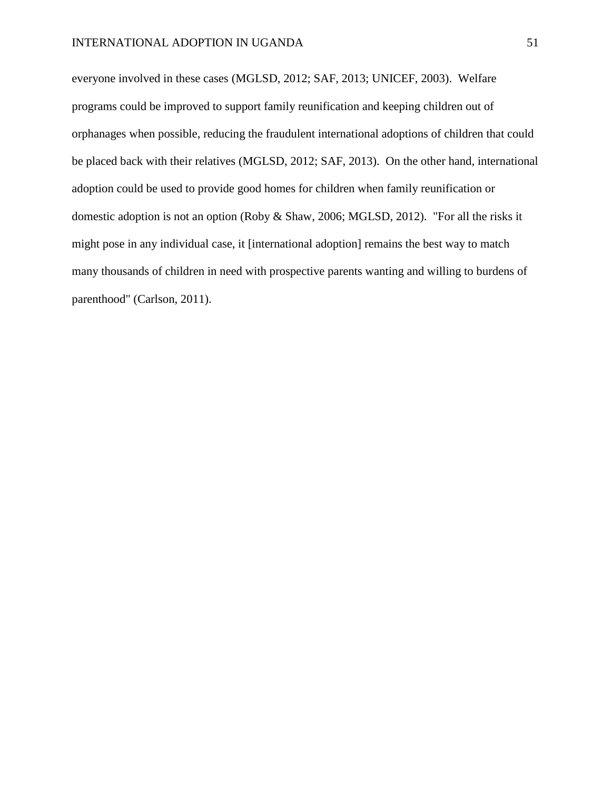everyone involved in these cases (MGLSD, 2012; SAF, 2013; UNICEF, 2003). Welfare programs could be improved to support family reunification and keeping children out of orphanages when possible, reducing the fraudulent international adoptions of children that could be placed back with their relatives (MGLSD, 2012; SAF, 2013). On the other hand, international adoption could be used to provide good homes for children when family reunification or domestic adoption is not an option (Roby & Shaw, 2006; MGLSD, 2012). "For all the risks it might pose in any individual case, it [international adoption] remains the best way to match many thousands of children in need with prospective parents wanting and willing to burdens of parenthood" (Carlson, 2011).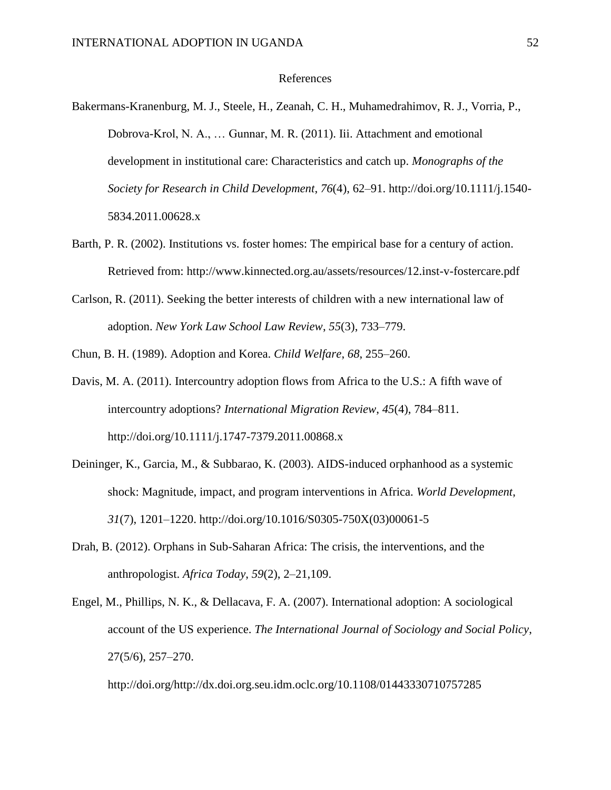#### References

- Bakermans-Kranenburg, M. J., Steele, H., Zeanah, C. H., Muhamedrahimov, R. J., Vorria, P., Dobrova-Krol, N. A., … Gunnar, M. R. (2011). Iii. Attachment and emotional development in institutional care: Characteristics and catch up. *Monographs of the Society for Research in Child Development*, *76*(4), 62–91. http://doi.org/10.1111/j.1540- 5834.2011.00628.x
- Barth, P. R. (2002). Institutions vs. foster homes: The empirical base for a century of action. Retrieved from: http://www.kinnected.org.au/assets/resources/12.inst-v-fostercare.pdf
- Carlson, R. (2011). Seeking the better interests of children with a new international law of adoption. *New York Law School Law Review*, *55*(3), 733–779.

Chun, B. H. (1989). Adoption and Korea. *Child Welfare*, *68*, 255–260.

- Davis, M. A. (2011). Intercountry adoption flows from Africa to the U.S.: A fifth wave of intercountry adoptions? *International Migration Review*, *45*(4), 784–811. http://doi.org/10.1111/j.1747-7379.2011.00868.x
- Deininger, K., Garcia, M., & Subbarao, K. (2003). AIDS-induced orphanhood as a systemic shock: Magnitude, impact, and program interventions in Africa. *World Development*, *31*(7), 1201–1220. http://doi.org/10.1016/S0305-750X(03)00061-5
- Drah, B. (2012). Orphans in Sub-Saharan Africa: The crisis, the interventions, and the anthropologist. *Africa Today*, *59*(2), 2–21,109.
- Engel, M., Phillips, N. K., & Dellacava, F. A. (2007). International adoption: A sociological account of the US experience. *The International Journal of Sociology and Social Policy*, 27(5/6), 257–270.

http://doi.org/http://dx.doi.org.seu.idm.oclc.org/10.1108/01443330710757285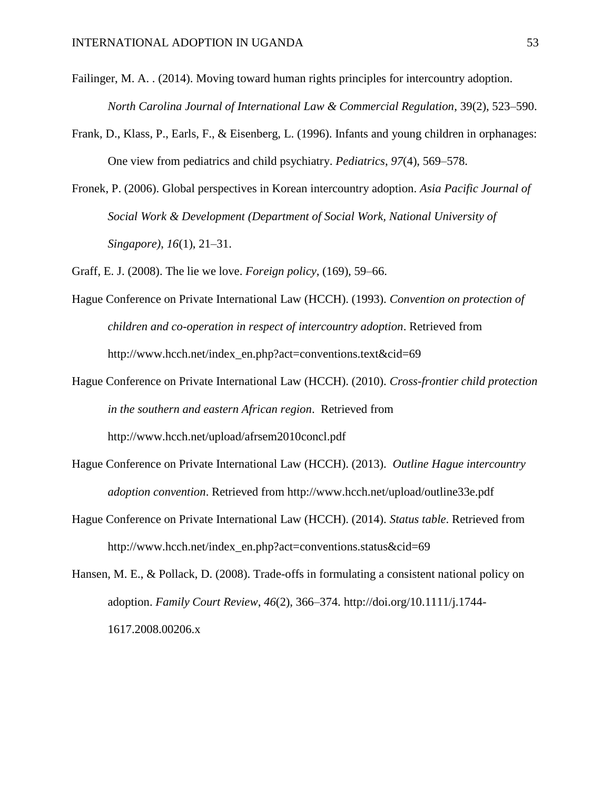- Failinger, M. A. . (2014). Moving toward human rights principles for intercountry adoption. *North Carolina Journal of International Law & Commercial Regulation*, 39(2), 523–590.
- Frank, D., Klass, P., Earls, F., & Eisenberg, L. (1996). Infants and young children in orphanages: One view from pediatrics and child psychiatry. *Pediatrics*, *97*(4), 569–578.
- Fronek, P. (2006). Global perspectives in Korean intercountry adoption. *Asia Pacific Journal of Social Work & Development (Department of Social Work, National University of Singapore)*, *16*(1), 21–31.
- Graff, E. J. (2008). The lie we love. *Foreign policy*, (169), 59–66.
- Hague Conference on Private International Law (HCCH). (1993). *Convention on protection of children and co-operation in respect of intercountry adoption*. Retrieved from http://www.hcch.net/index\_en.php?act=conventions.text&cid=69
- Hague Conference on Private International Law (HCCH). (2010). *Cross-frontier child protection in the southern and eastern African region*. Retrieved from http://www.hcch.net/upload/afrsem2010concl.pdf
- Hague Conference on Private International Law (HCCH). (2013). *Outline Hague intercountry adoption convention*. Retrieved from http://www.hcch.net/upload/outline33e.pdf
- Hague Conference on Private International Law (HCCH). (2014). *Status table*. Retrieved from http://www.hcch.net/index\_en.php?act=conventions.status&cid=69

Hansen, M. E., & Pollack, D. (2008). Trade-offs in formulating a consistent national policy on adoption. *Family Court Review*, *46*(2), 366–374. http://doi.org/10.1111/j.1744- 1617.2008.00206.x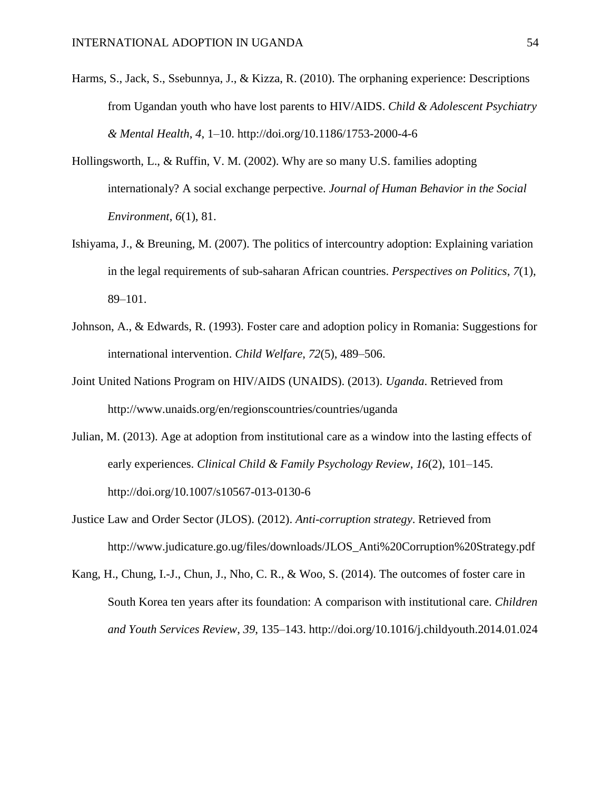- Harms, S., Jack, S., Ssebunnya, J., & Kizza, R. (2010). The orphaning experience: Descriptions from Ugandan youth who have lost parents to HIV/AIDS. *Child & Adolescent Psychiatry & Mental Health*, *4*, 1–10. http://doi.org/10.1186/1753-2000-4-6
- Hollingsworth, L., & Ruffin, V. M. (2002). Why are so many U.S. families adopting internationaly? A social exchange perpective. *Journal of Human Behavior in the Social Environment*, *6*(1), 81.
- Ishiyama, J., & Breuning, M. (2007). The politics of intercountry adoption: Explaining variation in the legal requirements of sub-saharan African countries. *Perspectives on Politics*, *7*(1), 89–101.
- Johnson, A., & Edwards, R. (1993). Foster care and adoption policy in Romania: Suggestions for international intervention. *Child Welfare*, *72*(5), 489–506.
- Joint United Nations Program on HIV/AIDS (UNAIDS). (2013). *Uganda*. Retrieved from http://www.unaids.org/en/regionscountries/countries/uganda
- Julian, M. (2013). Age at adoption from institutional care as a window into the lasting effects of early experiences. *Clinical Child & Family Psychology Review*, *16*(2), 101–145. http://doi.org/10.1007/s10567-013-0130-6
- Justice Law and Order Sector (JLOS). (2012). *Anti-corruption strategy*. Retrieved from http://www.judicature.go.ug/files/downloads/JLOS\_Anti%20Corruption%20Strategy.pdf
- Kang, H., Chung, I.-J., Chun, J., Nho, C. R., & Woo, S. (2014). The outcomes of foster care in South Korea ten years after its foundation: A comparison with institutional care. *Children and Youth Services Review*, *39*, 135–143. http://doi.org/10.1016/j.childyouth.2014.01.024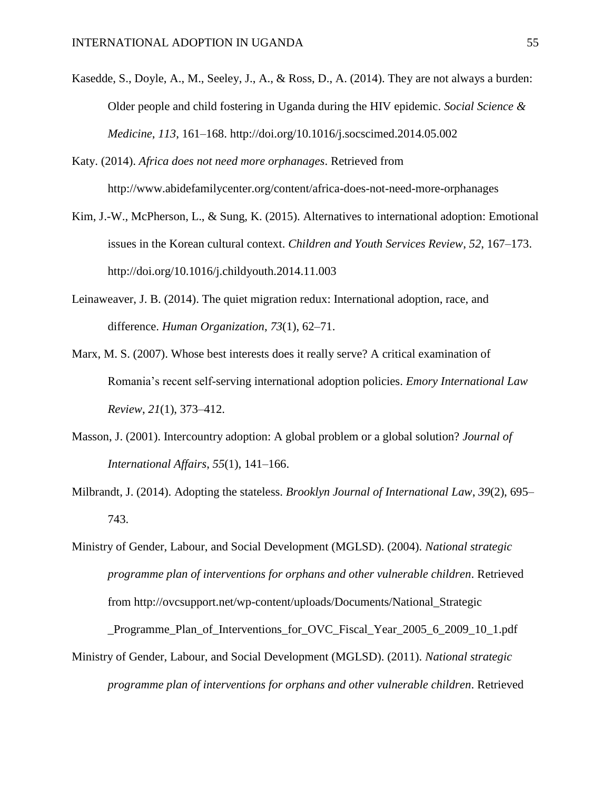- Kasedde, S., Doyle, A., M., Seeley, J., A., & Ross, D., A. (2014). They are not always a burden: Older people and child fostering in Uganda during the HIV epidemic. *Social Science & Medicine*, *113*, 161–168. http://doi.org/10.1016/j.socscimed.2014.05.002
- Katy. (2014). *Africa does not need more orphanages*. Retrieved from http://www.abidefamilycenter.org/content/africa-does-not-need-more-orphanages
- Kim, J.-W., McPherson, L., & Sung, K. (2015). Alternatives to international adoption: Emotional issues in the Korean cultural context. *Children and Youth Services Review*, *52*, 167–173. http://doi.org/10.1016/j.childyouth.2014.11.003
- Leinaweaver, J. B. (2014). The quiet migration redux: International adoption, race, and difference. *Human Organization*, *73*(1), 62–71.
- Marx, M. S. (2007). Whose best interests does it really serve? A critical examination of Romania's recent self-serving international adoption policies. *Emory International Law Review*, *21*(1), 373–412.
- Masson, J. (2001). Intercountry adoption: A global problem or a global solution? *Journal of International Affairs*, *55*(1), 141–166.
- Milbrandt, J. (2014). Adopting the stateless. *Brooklyn Journal of International Law*, *39*(2), 695– 743.
- Ministry of Gender, Labour, and Social Development (MGLSD). (2004). *National strategic programme plan of interventions for orphans and other vulnerable children*. Retrieved from http://ovcsupport.net/wp-content/uploads/Documents/National\_Strategic

\_Programme\_Plan\_of\_Interventions\_for\_OVC\_Fiscal\_Year\_2005\_6\_2009\_10\_1.pdf

Ministry of Gender, Labour, and Social Development (MGLSD). (2011). *National strategic programme plan of interventions for orphans and other vulnerable children*. Retrieved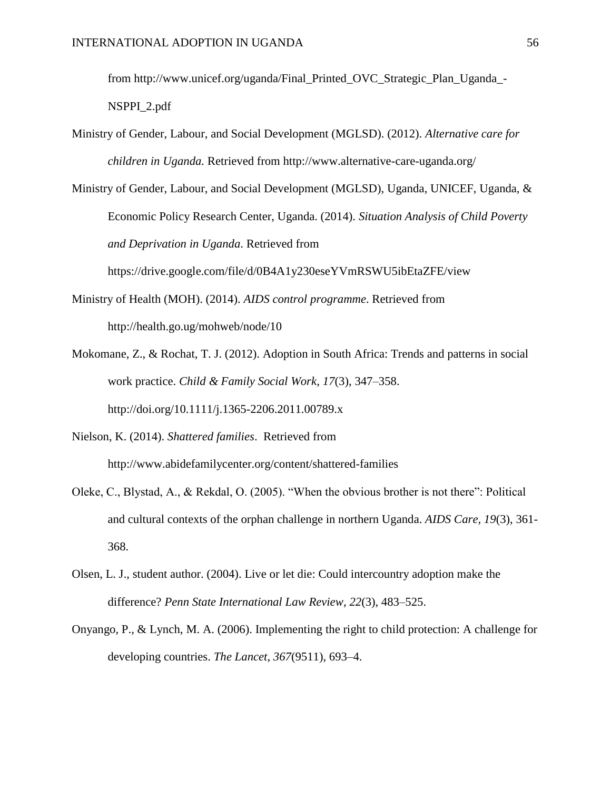from http://www.unicef.org/uganda/Final\_Printed\_OVC\_Strategic\_Plan\_Uganda\_-

NSPPI\_2.pdf

- Ministry of Gender, Labour, and Social Development (MGLSD). (2012). *Alternative care for children in Uganda.* Retrieved from http://www.alternative-care-uganda.org/
- Ministry of Gender, Labour, and Social Development (MGLSD), Uganda, UNICEF, Uganda, & Economic Policy Research Center, Uganda. (2014). *Situation Analysis of Child Poverty and Deprivation in Uganda*. Retrieved from

https://drive.google.com/file/d/0B4A1y230eseYVmRSWU5ibEtaZFE/view

- Ministry of Health (MOH). (2014). *AIDS control programme*. Retrieved from http://health.go.ug/mohweb/node/10
- Mokomane, Z., & Rochat, T. J. (2012). Adoption in South Africa: Trends and patterns in social work practice. *Child & Family Social Work*, *17*(3), 347–358. http://doi.org/10.1111/j.1365-2206.2011.00789.x
- Nielson, K. (2014). *Shattered families*. Retrieved from http://www.abidefamilycenter.org/content/shattered-families
- Oleke, C., Blystad, A., & Rekdal, O. (2005). "When the obvious brother is not there": Political and cultural contexts of the orphan challenge in northern Uganda. *AIDS Care, 19*(3), 361- 368.
- Olsen, L. J., student author. (2004). Live or let die: Could intercountry adoption make the difference? *Penn State International Law Review*, *22*(3), 483–525.
- Onyango, P., & Lynch, M. A. (2006). Implementing the right to child protection: A challenge for developing countries. *The Lancet*, *367*(9511), 693–4.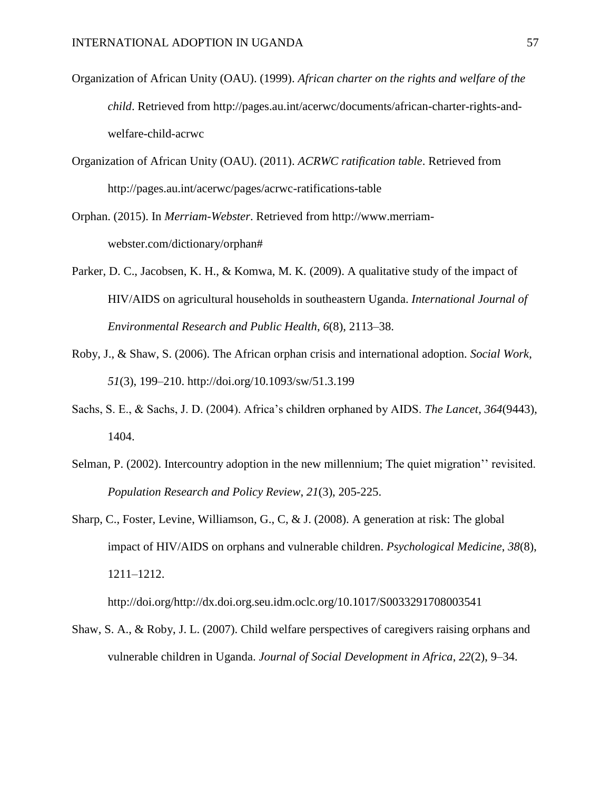- Organization of African Unity (OAU). (1999). *African charter on the rights and welfare of the child*. Retrieved from http://pages.au.int/acerwc/documents/african-charter-rights-andwelfare-child-acrwc
- Organization of African Unity (OAU). (2011). *ACRWC ratification table*. Retrieved from http://pages.au.int/acerwc/pages/acrwc-ratifications-table
- Orphan. (2015). In *Merriam-Webster*. Retrieved from http://www.merriamwebster.com/dictionary/orphan#
- Parker, D. C., Jacobsen, K. H., & Komwa, M. K. (2009). A qualitative study of the impact of HIV/AIDS on agricultural households in southeastern Uganda. *International Journal of Environmental Research and Public Health*, *6*(8), 2113–38.
- Roby, J., & Shaw, S. (2006). The African orphan crisis and international adoption. *Social Work*, *51*(3), 199–210. http://doi.org/10.1093/sw/51.3.199
- Sachs, S. E., & Sachs, J. D. (2004). Africa's children orphaned by AIDS. *The Lancet*, *364*(9443), 1404.
- Selman, P. (2002). Intercountry adoption in the new millennium; The quiet migration'' revisited. *Population Research and Policy Review*, *21*(3), 205-225.
- Sharp, C., Foster, Levine, Williamson, G., C, & J. (2008). A generation at risk: The global impact of HIV/AIDS on orphans and vulnerable children. *Psychological Medicine*, *38*(8), 1211–1212.

http://doi.org/http://dx.doi.org.seu.idm.oclc.org/10.1017/S0033291708003541

Shaw, S. A., & Roby, J. L. (2007). Child welfare perspectives of caregivers raising orphans and vulnerable children in Uganda. *Journal of Social Development in Africa*, *22*(2), 9–34.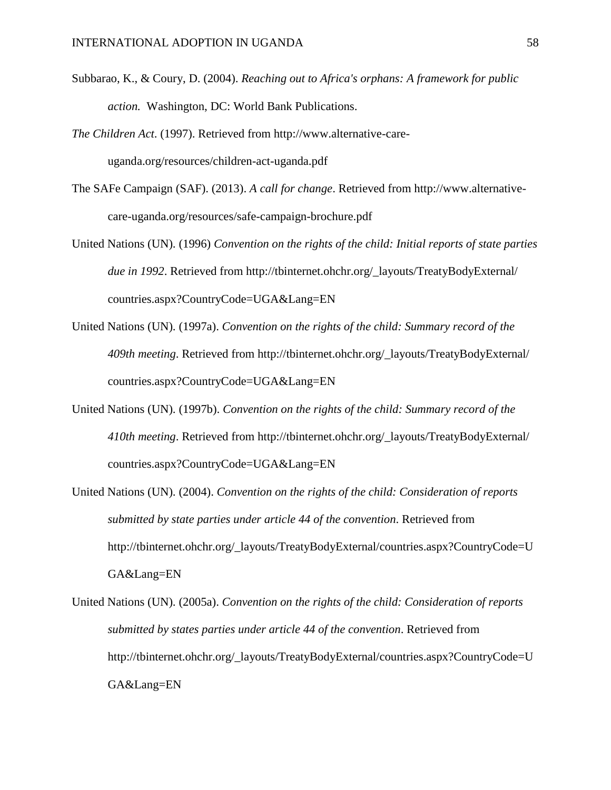- Subbarao, K., & Coury, D. (2004). *Reaching out to Africa's orphans: A framework for public action.* Washington, DC: World Bank Publications.
- *The Children Act*. (1997). Retrieved from http://www.alternative-careuganda.org/resources/children-act-uganda.pdf
- The SAFe Campaign (SAF). (2013). *A call for change*. Retrieved from http://www.alternativecare-uganda.org/resources/safe-campaign-brochure.pdf
- United Nations (UN). (1996) *Convention on the rights of the child: Initial reports of state parties due in 1992*. Retrieved from http://tbinternet.ohchr.org/\_layouts/TreatyBodyExternal/ countries.aspx?CountryCode=UGA&Lang=EN
- United Nations (UN). (1997a). *Convention on the rights of the child: Summary record of the 409th meeting*. Retrieved from http://tbinternet.ohchr.org/\_layouts/TreatyBodyExternal/ countries.aspx?CountryCode=UGA&Lang=EN
- United Nations (UN). (1997b). *Convention on the rights of the child: Summary record of the 410th meeting*. Retrieved from http://tbinternet.ohchr.org/\_layouts/TreatyBodyExternal/ countries.aspx?CountryCode=UGA&Lang=EN
- United Nations (UN). (2004). *Convention on the rights of the child: Consideration of reports submitted by state parties under article 44 of the convention*. Retrieved from http://tbinternet.ohchr.org/\_layouts/TreatyBodyExternal/countries.aspx?CountryCode=U GA&Lang=EN
- United Nations (UN). (2005a). *Convention on the rights of the child: Consideration of reports submitted by states parties under article 44 of the convention*. Retrieved from http://tbinternet.ohchr.org/\_layouts/TreatyBodyExternal/countries.aspx?CountryCode=U GA&Lang=EN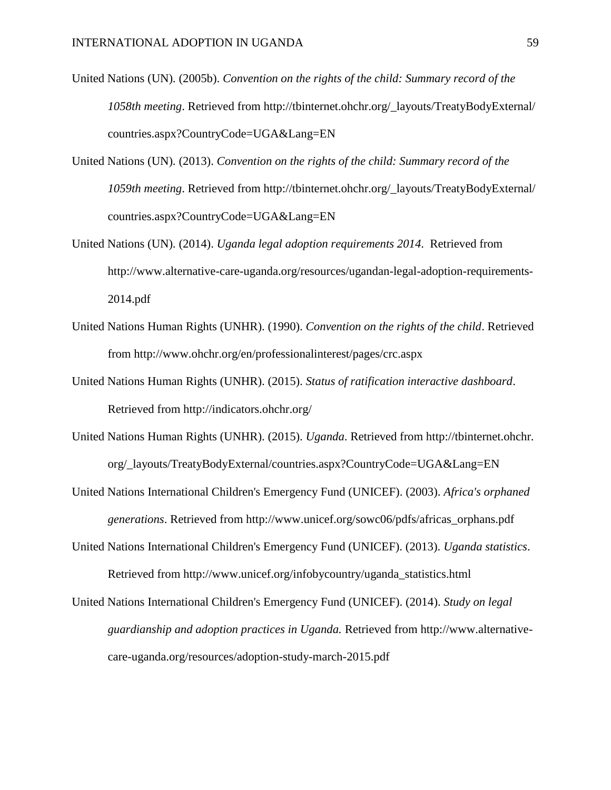- United Nations (UN). (2005b). *Convention on the rights of the child: Summary record of the 1058th meeting*. Retrieved from http://tbinternet.ohchr.org/\_layouts/TreatyBodyExternal/ countries.aspx?CountryCode=UGA&Lang=EN
- United Nations (UN). (2013). *Convention on the rights of the child: Summary record of the 1059th meeting*. Retrieved from http://tbinternet.ohchr.org/\_layouts/TreatyBodyExternal/ countries.aspx?CountryCode=UGA&Lang=EN
- United Nations (UN). (2014). *Uganda legal adoption requirements 2014*. Retrieved from http://www.alternative-care-uganda.org/resources/ugandan-legal-adoption-requirements-2014.pdf
- United Nations Human Rights (UNHR). (1990). *Convention on the rights of the child*. Retrieved from http://www.ohchr.org/en/professionalinterest/pages/crc.aspx
- United Nations Human Rights (UNHR). (2015). *Status of ratification interactive dashboard*. Retrieved from http://indicators.ohchr.org/
- United Nations Human Rights (UNHR). (2015). *Uganda*. Retrieved from http://tbinternet.ohchr. org/\_layouts/TreatyBodyExternal/countries.aspx?CountryCode=UGA&Lang=EN
- United Nations International Children's Emergency Fund (UNICEF). (2003). *Africa's orphaned generations*. Retrieved from http://www.unicef.org/sowc06/pdfs/africas\_orphans.pdf
- United Nations International Children's Emergency Fund (UNICEF). (2013). *Uganda statistics*. Retrieved from http://www.unicef.org/infobycountry/uganda\_statistics.html
- United Nations International Children's Emergency Fund (UNICEF). (2014). *Study on legal guardianship and adoption practices in Uganda.* Retrieved from http://www.alternativecare-uganda.org/resources/adoption-study-march-2015.pdf